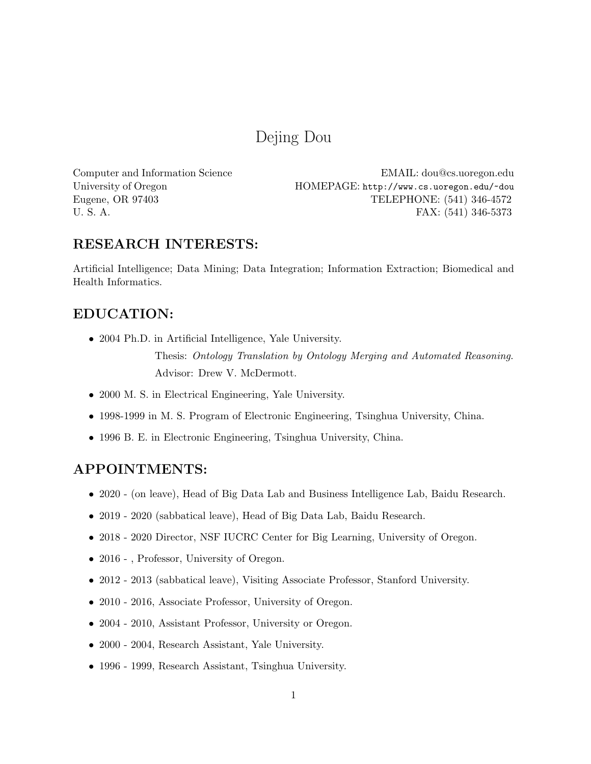# Dejing Dou

Computer and Information Science EMAIL: dou@cs.uoregon.edu University of Oregon HOMEPAGE: http://www.cs.uoregon.edu/~dou<br>Eugene, OR 97403 TELEPHONE: (541) 346-4572 TELEPHONE: (541) 346-4572 U. S. A. FAX: (541) 346-5373

# RESEARCH INTERESTS:

Artificial Intelligence; Data Mining; Data Integration; Information Extraction; Biomedical and Health Informatics.

# EDUCATION:

• 2004 Ph.D. in Artificial Intelligence, Yale University.

Thesis: Ontology Translation by Ontology Merging and Automated Reasoning. Advisor: Drew V. McDermott.

- 2000 M. S. in Electrical Engineering, Yale University.
- 1998-1999 in M. S. Program of Electronic Engineering, Tsinghua University, China.
- 1996 B. E. in Electronic Engineering, Tsinghua University, China.

# APPOINTMENTS:

- 2020 (on leave), Head of Big Data Lab and Business Intelligence Lab, Baidu Research.
- 2019 2020 (sabbatical leave), Head of Big Data Lab, Baidu Research.
- 2018 2020 Director, NSF IUCRC Center for Big Learning, University of Oregon.
- 2016 , Professor, University of Oregon.
- 2012 2013 (sabbatical leave), Visiting Associate Professor, Stanford University.
- 2010 2016, Associate Professor, University of Oregon.
- 2004 2010, Assistant Professor, University or Oregon.
- 2000 2004, Research Assistant, Yale University.
- 1996 1999, Research Assistant, Tsinghua University.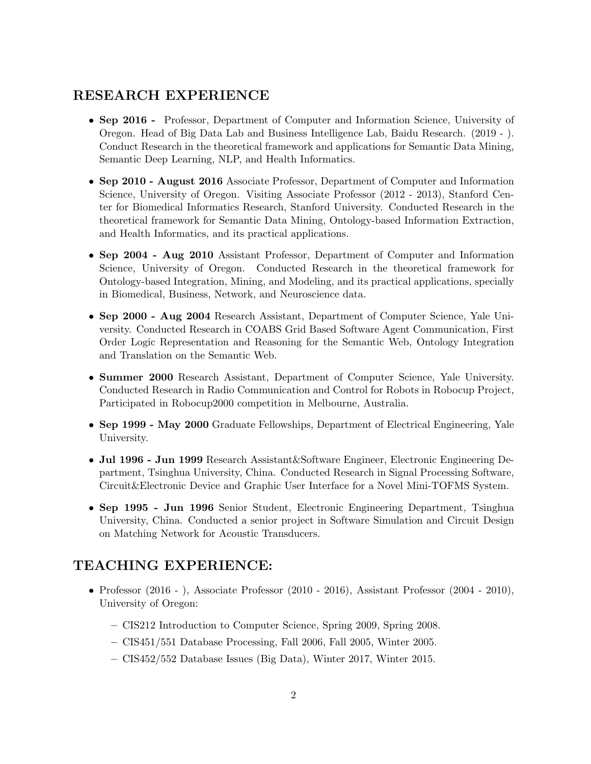# RESEARCH EXPERIENCE

- Sep 2016 Professor, Department of Computer and Information Science, University of Oregon. Head of Big Data Lab and Business Intelligence Lab, Baidu Research. (2019 - ). Conduct Research in the theoretical framework and applications for Semantic Data Mining, Semantic Deep Learning, NLP, and Health Informatics.
- Sep 2010 August 2016 Associate Professor, Department of Computer and Information Science, University of Oregon. Visiting Associate Professor (2012 - 2013), Stanford Center for Biomedical Informatics Research, Stanford University. Conducted Research in the theoretical framework for Semantic Data Mining, Ontology-based Information Extraction, and Health Informatics, and its practical applications.
- Sep 2004 Aug 2010 Assistant Professor, Department of Computer and Information Science, University of Oregon. Conducted Research in the theoretical framework for Ontology-based Integration, Mining, and Modeling, and its practical applications, specially in Biomedical, Business, Network, and Neuroscience data.
- Sep 2000 Aug 2004 Research Assistant, Department of Computer Science, Yale University. Conducted Research in COABS Grid Based Software Agent Communication, First Order Logic Representation and Reasoning for the Semantic Web, Ontology Integration and Translation on the Semantic Web.
- Summer 2000 Research Assistant, Department of Computer Science, Yale University. Conducted Research in Radio Communication and Control for Robots in Robocup Project, Participated in Robocup2000 competition in Melbourne, Australia.
- Sep 1999 May 2000 Graduate Fellowships, Department of Electrical Engineering, Yale University.
- Jul 1996 Jun 1999 Research Assistant&Software Engineer, Electronic Engineering Department, Tsinghua University, China. Conducted Research in Signal Processing Software, Circuit&Electronic Device and Graphic User Interface for a Novel Mini-TOFMS System.
- Sep 1995 Jun 1996 Senior Student, Electronic Engineering Department, Tsinghua University, China. Conducted a senior project in Software Simulation and Circuit Design on Matching Network for Acoustic Transducers.

# TEACHING EXPERIENCE:

- Professor (2016 ), Associate Professor (2010 2016), Assistant Professor (2004 2010), University of Oregon:
	- CIS212 Introduction to Computer Science, Spring 2009, Spring 2008.
	- CIS451/551 Database Processing, Fall 2006, Fall 2005, Winter 2005.
	- CIS452/552 Database Issues (Big Data), Winter 2017, Winter 2015.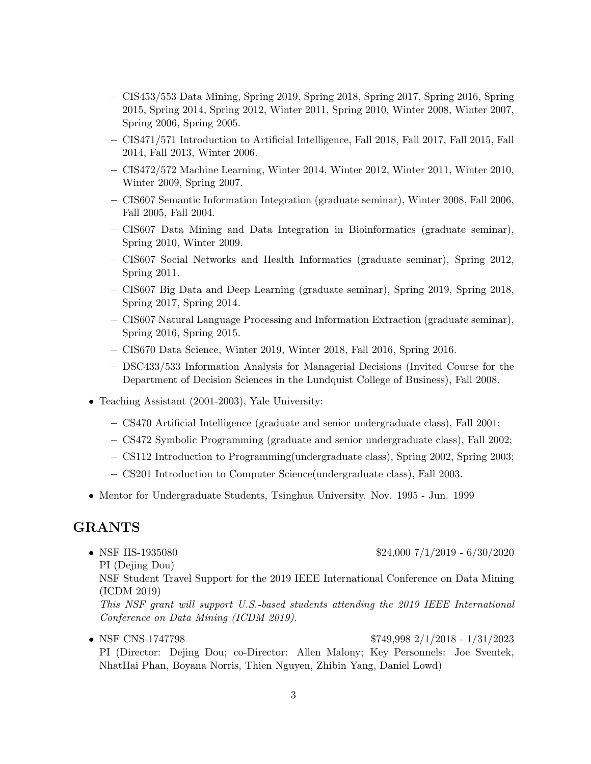- CIS453/553 Data Mining, Spring 2019, Spring 2018, Spring 2017, Spring 2016, Spring 2015, Spring 2014, Spring 2012, Winter 2011, Spring 2010, Winter 2008, Winter 2007, Spring 2006, Spring 2005.
- CIS471/571 Introduction to Artificial Intelligence, Fall 2018, Fall 2017, Fall 2015, Fall 2014, Fall 2013, Winter 2006.
- CIS472/572 Machine Learning, Winter 2014, Winter 2012, Winter 2011, Winter 2010, Winter 2009, Spring 2007.
- CIS607 Semantic Information Integration (graduate seminar), Winter 2008, Fall 2006, Fall 2005, Fall 2004.
- CIS607 Data Mining and Data Integration in Bioinformatics (graduate seminar), Spring 2010, Winter 2009.
- CIS607 Social Networks and Health Informatics (graduate seminar), Spring 2012, Spring 2011.
- CIS607 Big Data and Deep Learning (graduate seminar), Spring 2019, Spring 2018, Spring 2017, Spring 2014.
- CIS607 Natural Language Processing and Information Extraction (graduate seminar), Spring 2016, Spring 2015.
- CIS670 Data Science, Winter 2019, Winter 2018, Fall 2016, Spring 2016.
- DSC433/533 Information Analysis for Managerial Decisions (Invited Course for the Department of Decision Sciences in the Lundquist College of Business), Fall 2008.
- Teaching Assistant (2001-2003), Yale University:
	- CS470 Artificial Intelligence (graduate and senior undergraduate class), Fall 2001;
	- CS472 Symbolic Programming (graduate and senior undergraduate class), Fall 2002;
	- CS112 Introduction to Programming(undergraduate class), Spring 2002, Spring 2003;
	- CS201 Introduction to Computer Science(undergraduate class), Fall 2003.
- Mentor for Undergraduate Students, Tsinghua University. Nov. 1995 Jun. 1999

### GRANTS

PI (Dejing Dou)

• NSF IIS-1935080 \$24,000 7/1/2019 - 6/30/2020

NSF Student Travel Support for the 2019 IEEE International Conference on Data Mining (ICDM 2019)

This NSF grant will support U.S.-based students attending the 2019 IEEE International Conference on Data Mining (ICDM 2019).

• NSF CNS-1747798 \$749,998 2/1/2018 - 1/31/2023 PI (Director: Dejing Dou; co-Director: Allen Malony; Key Personnels: Joe Sventek, NhatHai Phan, Boyana Norris, Thien Nguyen, Zhibin Yang, Daniel Lowd)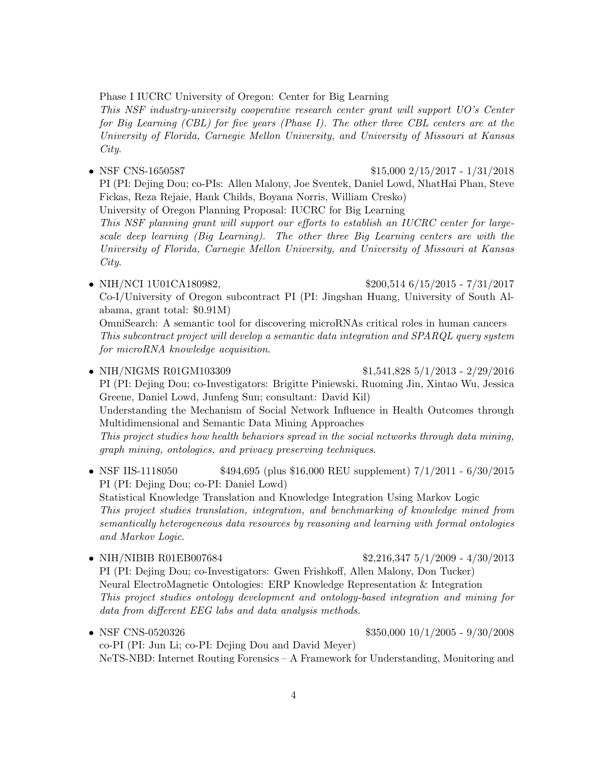Phase I IUCRC University of Oregon: Center for Big Learning

This NSF industry-university cooperative research center grant will support UO's Center for Big Learning (CBL) for five years (Phase I). The other three CBL centers are at the University of Florida, Carnegie Mellon University, and University of Missouri at Kansas City.

• NSF CNS-1650587 \$15,000 2/15/2017 - 1/31/2018 PI (PI: Dejing Dou; co-PIs: Allen Malony, Joe Sventek, Daniel Lowd, NhatHai Phan, Steve Fickas, Reza Rejaie, Hank Childs, Boyana Norris, William Cresko) University of Oregon Planning Proposal: IUCRC for Big Learning

This NSF planning grant will support our efforts to establish an IUCRC center for largescale deep learning (Big Learning). The other three Big Learning centers are with the University of Florida, Carnegie Mellon University, and University of Missouri at Kansas City.

- NIH/NCI 1U01CA180982, \$200,514 6/15/2015 7/31/2017 Co-I/University of Oregon subcontract PI (PI: Jingshan Huang, University of South Alabama, grant total: \$0.91M) OmniSearch: A semantic tool for discovering microRNAs critical roles in human cancers This subcontract project will develop a semantic data integration and SPARQL query system for microRNA knowledge acquisition.
- NIH/NIGMS R01GM103309 \$1,541,828 5/1/2013 2/29/2016 PI (PI: Dejing Dou; co-Investigators: Brigitte Piniewski, Ruoming Jin, Xintao Wu, Jessica Greene, Daniel Lowd, Junfeng Sun; consultant: David Kil) Understanding the Mechanism of Social Network Influence in Health Outcomes through Multidimensional and Semantic Data Mining Approaches This project studies how health behaviors spread in the social networks through data mining, graph mining, ontologies, and privacy preserving techniques.
- NSF IIS-1118050 \$494,695 (plus \$16,000 REU supplement)  $7/1/2011 6/30/2015$ PI (PI: Dejing Dou; co-PI: Daniel Lowd) Statistical Knowledge Translation and Knowledge Integration Using Markov Logic This project studies translation, integration, and benchmarking of knowledge mined from semantically heterogeneous data resources by reasoning and learning with formal ontologies and Markov Logic.
- NIH/NIBIB R01EB007684 \$2.216,347 5/1/2009 4/30/2013 PI (PI: Dejing Dou; co-Investigators: Gwen Frishkoff, Allen Malony, Don Tucker) Neural ElectroMagnetic Ontologies: ERP Knowledge Representation & Integration This project studies ontology development and ontology-based integration and mining for data from different EEG labs and data analysis methods.
- NSF CNS-0520326 \$350,000 10/1/2005 9/30/2008 co-PI (PI: Jun Li; co-PI: Dejing Dou and David Meyer) NeTS-NBD: Internet Routing Forensics – A Framework for Understanding, Monitoring and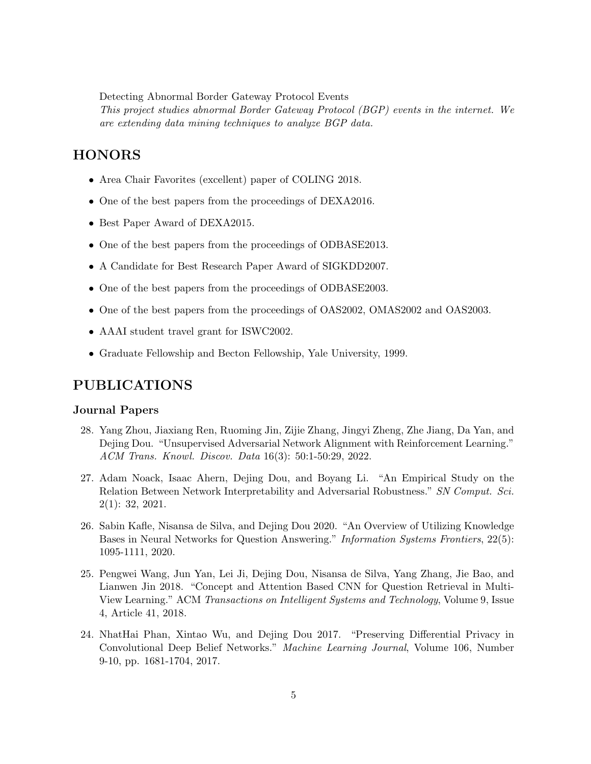Detecting Abnormal Border Gateway Protocol Events This project studies abnormal Border Gateway Protocol (BGP) events in the internet. We are extending data mining techniques to analyze BGP data.

# **HONORS**

- Area Chair Favorites (excellent) paper of COLING 2018.
- One of the best papers from the proceedings of DEXA2016.
- Best Paper Award of DEXA2015.
- One of the best papers from the proceedings of ODBASE2013.
- A Candidate for Best Research Paper Award of SIGKDD2007.
- One of the best papers from the proceedings of ODBASE2003.
- One of the best papers from the proceedings of OAS2002, OMAS2002 and OAS2003.
- AAAI student travel grant for ISWC2002.
- Graduate Fellowship and Becton Fellowship, Yale University, 1999.

### PUBLICATIONS

#### Journal Papers

- 28. Yang Zhou, Jiaxiang Ren, Ruoming Jin, Zijie Zhang, Jingyi Zheng, Zhe Jiang, Da Yan, and Dejing Dou. "Unsupervised Adversarial Network Alignment with Reinforcement Learning." ACM Trans. Knowl. Discov. Data 16(3): 50:1-50:29, 2022.
- 27. Adam Noack, Isaac Ahern, Dejing Dou, and Boyang Li. "An Empirical Study on the Relation Between Network Interpretability and Adversarial Robustness." SN Comput. Sci. 2(1): 32, 2021.
- 26. Sabin Kafle, Nisansa de Silva, and Dejing Dou 2020. "An Overview of Utilizing Knowledge Bases in Neural Networks for Question Answering." Information Systems Frontiers, 22(5): 1095-1111, 2020.
- 25. Pengwei Wang, Jun Yan, Lei Ji, Dejing Dou, Nisansa de Silva, Yang Zhang, Jie Bao, and Lianwen Jin 2018. "Concept and Attention Based CNN for Question Retrieval in Multi-View Learning." ACM Transactions on Intelligent Systems and Technology, Volume 9, Issue 4, Article 41, 2018.
- 24. NhatHai Phan, Xintao Wu, and Dejing Dou 2017. "Preserving Differential Privacy in Convolutional Deep Belief Networks." Machine Learning Journal, Volume 106, Number 9-10, pp. 1681-1704, 2017.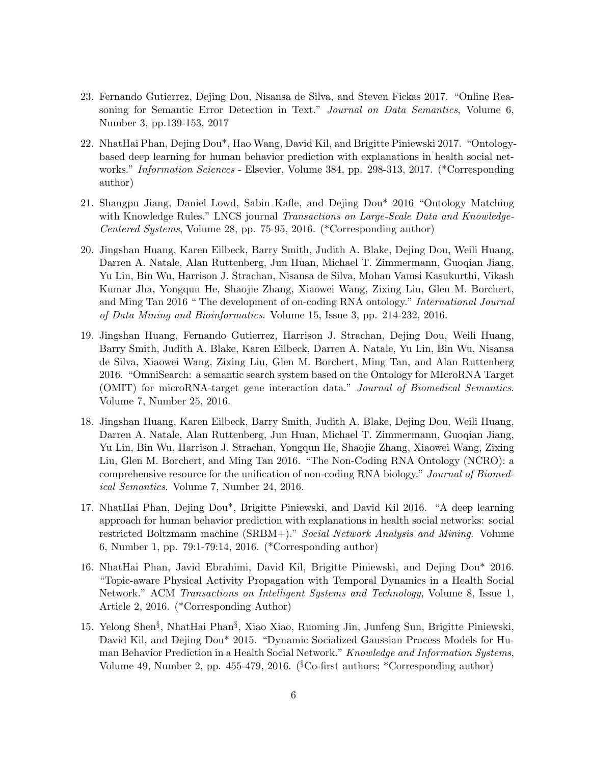- 23. Fernando Gutierrez, Dejing Dou, Nisansa de Silva, and Steven Fickas 2017. "Online Reasoning for Semantic Error Detection in Text." Journal on Data Semantics, Volume 6, Number 3, pp.139-153, 2017
- 22. NhatHai Phan, Dejing Dou\*, Hao Wang, David Kil, and Brigitte Piniewski 2017. "Ontologybased deep learning for human behavior prediction with explanations in health social networks." Information Sciences - Elsevier, Volume 384, pp. 298-313, 2017. (\*Corresponding author)
- 21. Shangpu Jiang, Daniel Lowd, Sabin Kafle, and Dejing Dou\* 2016 "Ontology Matching with Knowledge Rules." LNCS journal Transactions on Large-Scale Data and Knowledge-Centered Systems, Volume 28, pp. 75-95, 2016. (\*Corresponding author)
- 20. Jingshan Huang, Karen Eilbeck, Barry Smith, Judith A. Blake, Dejing Dou, Weili Huang, Darren A. Natale, Alan Ruttenberg, Jun Huan, Michael T. Zimmermann, Guoqian Jiang, Yu Lin, Bin Wu, Harrison J. Strachan, Nisansa de Silva, Mohan Vamsi Kasukurthi, Vikash Kumar Jha, Yongqun He, Shaojie Zhang, Xiaowei Wang, Zixing Liu, Glen M. Borchert, and Ming Tan 2016 " The development of on-coding RNA ontology." International Journal of Data Mining and Bioinformatics. Volume 15, Issue 3, pp. 214-232, 2016.
- 19. Jingshan Huang, Fernando Gutierrez, Harrison J. Strachan, Dejing Dou, Weili Huang, Barry Smith, Judith A. Blake, Karen Eilbeck, Darren A. Natale, Yu Lin, Bin Wu, Nisansa de Silva, Xiaowei Wang, Zixing Liu, Glen M. Borchert, Ming Tan, and Alan Ruttenberg 2016. "OmniSearch: a semantic search system based on the Ontology for MIcroRNA Target (OMIT) for microRNA-target gene interaction data." Journal of Biomedical Semantics. Volume 7, Number 25, 2016.
- 18. Jingshan Huang, Karen Eilbeck, Barry Smith, Judith A. Blake, Dejing Dou, Weili Huang, Darren A. Natale, Alan Ruttenberg, Jun Huan, Michael T. Zimmermann, Guoqian Jiang, Yu Lin, Bin Wu, Harrison J. Strachan, Yongqun He, Shaojie Zhang, Xiaowei Wang, Zixing Liu, Glen M. Borchert, and Ming Tan 2016. "The Non-Coding RNA Ontology (NCRO): a comprehensive resource for the unification of non-coding RNA biology." Journal of Biomedical Semantics. Volume 7, Number 24, 2016.
- 17. NhatHai Phan, Dejing Dou\*, Brigitte Piniewski, and David Kil 2016. "A deep learning approach for human behavior prediction with explanations in health social networks: social restricted Boltzmann machine (SRBM+)." Social Network Analysis and Mining. Volume 6, Number 1, pp. 79:1-79:14, 2016. (\*Corresponding author)
- 16. NhatHai Phan, Javid Ebrahimi, David Kil, Brigitte Piniewski, and Dejing Dou\* 2016. "Topic-aware Physical Activity Propagation with Temporal Dynamics in a Health Social Network." ACM Transactions on Intelligent Systems and Technology, Volume 8, Issue 1, Article 2, 2016. (\*Corresponding Author)
- 15. Yelong Shen§ , NhatHai Phan§ , Xiao Xiao, Ruoming Jin, Junfeng Sun, Brigitte Piniewski, David Kil, and Dejing Dou\* 2015. "Dynamic Socialized Gaussian Process Models for Human Behavior Prediction in a Health Social Network." Knowledge and Information Systems, Volume 49, Number 2, pp. 455-479, 2016. ( ${}^{8}$ Co-first authors; \*Corresponding author)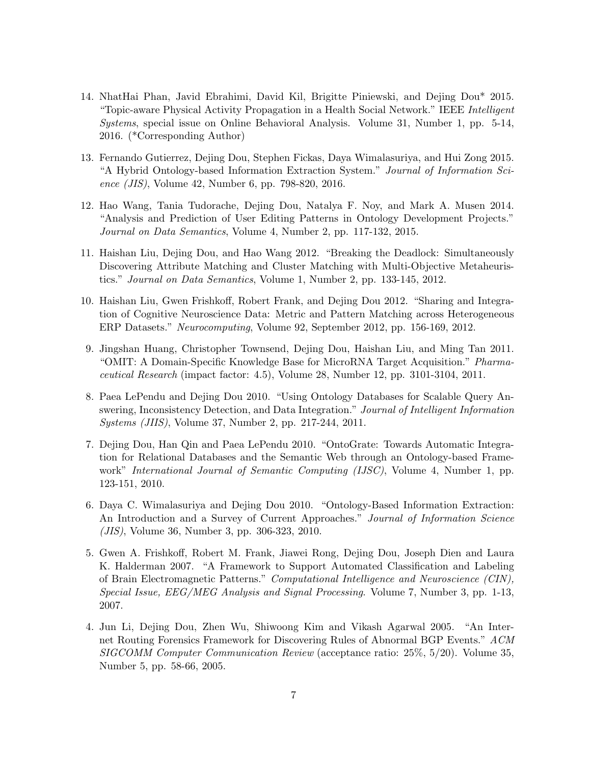- 14. NhatHai Phan, Javid Ebrahimi, David Kil, Brigitte Piniewski, and Dejing Dou\* 2015. "Topic-aware Physical Activity Propagation in a Health Social Network." IEEE Intelligent Systems, special issue on Online Behavioral Analysis. Volume 31, Number 1, pp. 5-14, 2016. (\*Corresponding Author)
- 13. Fernando Gutierrez, Dejing Dou, Stephen Fickas, Daya Wimalasuriya, and Hui Zong 2015. "A Hybrid Ontology-based Information Extraction System." Journal of Information Science (JIS), Volume 42, Number 6, pp. 798-820, 2016.
- 12. Hao Wang, Tania Tudorache, Dejing Dou, Natalya F. Noy, and Mark A. Musen 2014. "Analysis and Prediction of User Editing Patterns in Ontology Development Projects." Journal on Data Semantics, Volume 4, Number 2, pp. 117-132, 2015.
- 11. Haishan Liu, Dejing Dou, and Hao Wang 2012. "Breaking the Deadlock: Simultaneously Discovering Attribute Matching and Cluster Matching with Multi-Objective Metaheuristics." Journal on Data Semantics, Volume 1, Number 2, pp. 133-145, 2012.
- 10. Haishan Liu, Gwen Frishkoff, Robert Frank, and Dejing Dou 2012. "Sharing and Integration of Cognitive Neuroscience Data: Metric and Pattern Matching across Heterogeneous ERP Datasets." Neurocomputing, Volume 92, September 2012, pp. 156-169, 2012.
- 9. Jingshan Huang, Christopher Townsend, Dejing Dou, Haishan Liu, and Ming Tan 2011. "OMIT: A Domain-Specific Knowledge Base for MicroRNA Target Acquisition." Pharmaceutical Research (impact factor: 4.5), Volume 28, Number 12, pp. 3101-3104, 2011.
- 8. Paea LePendu and Dejing Dou 2010. "Using Ontology Databases for Scalable Query Answering, Inconsistency Detection, and Data Integration." Journal of Intelligent Information Systems (JIIS), Volume 37, Number 2, pp. 217-244, 2011.
- 7. Dejing Dou, Han Qin and Paea LePendu 2010. "OntoGrate: Towards Automatic Integration for Relational Databases and the Semantic Web through an Ontology-based Framework" *International Journal of Semantic Computing (IJSC)*, Volume 4, Number 1, pp. 123-151, 2010.
- 6. Daya C. Wimalasuriya and Dejing Dou 2010. "Ontology-Based Information Extraction: An Introduction and a Survey of Current Approaches." Journal of Information Science (JIS), Volume 36, Number 3, pp. 306-323, 2010.
- 5. Gwen A. Frishkoff, Robert M. Frank, Jiawei Rong, Dejing Dou, Joseph Dien and Laura K. Halderman 2007. "A Framework to Support Automated Classification and Labeling of Brain Electromagnetic Patterns." Computational Intelligence and Neuroscience (CIN), Special Issue, EEG/MEG Analysis and Signal Processing. Volume 7, Number 3, pp. 1-13, 2007.
- 4. Jun Li, Dejing Dou, Zhen Wu, Shiwoong Kim and Vikash Agarwal 2005. "An Internet Routing Forensics Framework for Discovering Rules of Abnormal BGP Events." ACM SIGCOMM Computer Communication Review (acceptance ratio: 25%, 5/20). Volume 35, Number 5, pp. 58-66, 2005.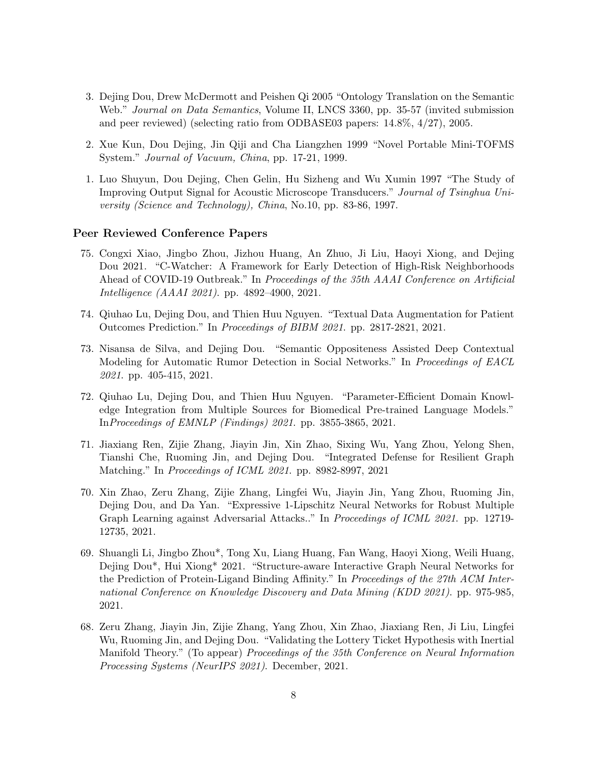- 3. Dejing Dou, Drew McDermott and Peishen Qi 2005 "Ontology Translation on the Semantic Web." *Journal on Data Semantics*, Volume II, LNCS 3360, pp. 35-57 (invited submission and peer reviewed) (selecting ratio from ODBASE03 papers: 14.8%, 4/27), 2005.
- 2. Xue Kun, Dou Dejing, Jin Qiji and Cha Liangzhen 1999 "Novel Portable Mini-TOFMS System." Journal of Vacuum, China, pp. 17-21, 1999.
- 1. Luo Shuyun, Dou Dejing, Chen Gelin, Hu Sizheng and Wu Xumin 1997 "The Study of Improving Output Signal for Acoustic Microscope Transducers." Journal of Tsinghua University (Science and Technology), China, No.10, pp. 83-86, 1997.

#### Peer Reviewed Conference Papers

- 75. Congxi Xiao, Jingbo Zhou, Jizhou Huang, An Zhuo, Ji Liu, Haoyi Xiong, and Dejing Dou 2021. "C-Watcher: A Framework for Early Detection of High-Risk Neighborhoods Ahead of COVID-19 Outbreak." In Proceedings of the 35th AAAI Conference on Artificial Intelligence (AAAI 2021). pp. 4892–4900, 2021.
- 74. Qiuhao Lu, Dejing Dou, and Thien Huu Nguyen. "Textual Data Augmentation for Patient Outcomes Prediction." In Proceedings of BIBM 2021. pp. 2817-2821, 2021.
- 73. Nisansa de Silva, and Dejing Dou. "Semantic Oppositeness Assisted Deep Contextual Modeling for Automatic Rumor Detection in Social Networks." In Proceedings of EACL 2021. pp. 405-415, 2021.
- 72. Qiuhao Lu, Dejing Dou, and Thien Huu Nguyen. "Parameter-Efficient Domain Knowledge Integration from Multiple Sources for Biomedical Pre-trained Language Models." InProceedings of EMNLP (Findings) 2021. pp. 3855-3865, 2021.
- 71. Jiaxiang Ren, Zijie Zhang, Jiayin Jin, Xin Zhao, Sixing Wu, Yang Zhou, Yelong Shen, Tianshi Che, Ruoming Jin, and Dejing Dou. "Integrated Defense for Resilient Graph Matching." In Proceedings of ICML 2021. pp. 8982-8997, 2021
- 70. Xin Zhao, Zeru Zhang, Zijie Zhang, Lingfei Wu, Jiayin Jin, Yang Zhou, Ruoming Jin, Dejing Dou, and Da Yan. "Expressive 1-Lipschitz Neural Networks for Robust Multiple Graph Learning against Adversarial Attacks.." In Proceedings of ICML 2021. pp. 12719- 12735, 2021.
- 69. Shuangli Li, Jingbo Zhou\*, Tong Xu, Liang Huang, Fan Wang, Haoyi Xiong, Weili Huang, Dejing Dou\*, Hui Xiong\* 2021. "Structure-aware Interactive Graph Neural Networks for the Prediction of Protein-Ligand Binding Affinity." In Proceedings of the 27th ACM International Conference on Knowledge Discovery and Data Mining (KDD 2021). pp. 975-985, 2021.
- 68. Zeru Zhang, Jiayin Jin, Zijie Zhang, Yang Zhou, Xin Zhao, Jiaxiang Ren, Ji Liu, Lingfei Wu, Ruoming Jin, and Dejing Dou. "Validating the Lottery Ticket Hypothesis with Inertial Manifold Theory." (To appear) Proceedings of the 35th Conference on Neural Information Processing Systems (NeurIPS 2021). December, 2021.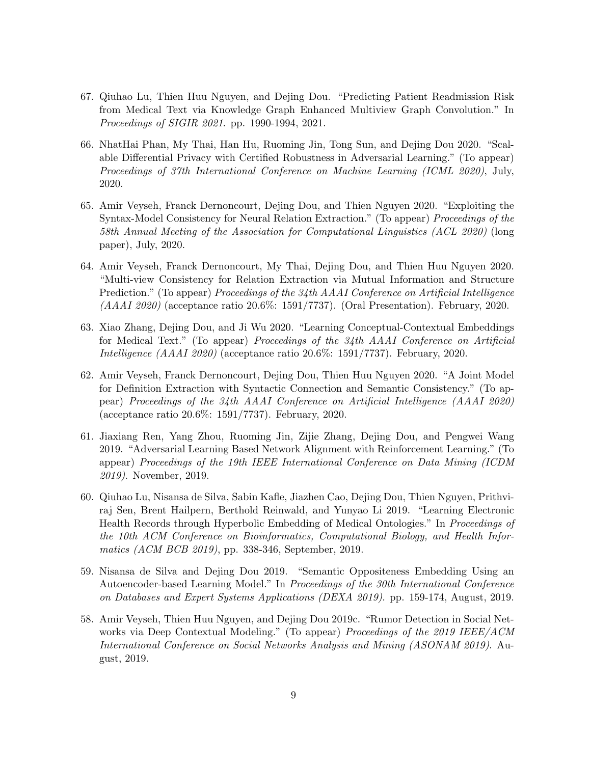- 67. Qiuhao Lu, Thien Huu Nguyen, and Dejing Dou. "Predicting Patient Readmission Risk from Medical Text via Knowledge Graph Enhanced Multiview Graph Convolution." In Proceedings of SIGIR 2021. pp. 1990-1994, 2021.
- 66. NhatHai Phan, My Thai, Han Hu, Ruoming Jin, Tong Sun, and Dejing Dou 2020. "Scalable Differential Privacy with Certified Robustness in Adversarial Learning." (To appear) Proceedings of 37th International Conference on Machine Learning (ICML 2020), July, 2020.
- 65. Amir Veyseh, Franck Dernoncourt, Dejing Dou, and Thien Nguyen 2020. "Exploiting the Syntax-Model Consistency for Neural Relation Extraction." (To appear) Proceedings of the 58th Annual Meeting of the Association for Computational Linguistics (ACL 2020) (long paper), July, 2020.
- 64. Amir Veyseh, Franck Dernoncourt, My Thai, Dejing Dou, and Thien Huu Nguyen 2020. "Multi-view Consistency for Relation Extraction via Mutual Information and Structure Prediction." (To appear) *Proceedings of the 34th AAAI Conference on Artificial Intelligence* (AAAI 2020) (acceptance ratio 20.6%: 1591/7737). (Oral Presentation). February, 2020.
- 63. Xiao Zhang, Dejing Dou, and Ji Wu 2020. "Learning Conceptual-Contextual Embeddings for Medical Text." (To appear) Proceedings of the 34th AAAI Conference on Artificial Intelligence (AAAI 2020) (acceptance ratio 20.6%: 1591/7737). February, 2020.
- 62. Amir Veyseh, Franck Dernoncourt, Dejing Dou, Thien Huu Nguyen 2020. "A Joint Model for Definition Extraction with Syntactic Connection and Semantic Consistency." (To appear) Proceedings of the 34th AAAI Conference on Artificial Intelligence (AAAI 2020) (acceptance ratio 20.6%: 1591/7737). February, 2020.
- 61. Jiaxiang Ren, Yang Zhou, Ruoming Jin, Zijie Zhang, Dejing Dou, and Pengwei Wang 2019. "Adversarial Learning Based Network Alignment with Reinforcement Learning." (To appear) Proceedings of the 19th IEEE International Conference on Data Mining (ICDM 2019). November, 2019.
- 60. Qiuhao Lu, Nisansa de Silva, Sabin Kafle, Jiazhen Cao, Dejing Dou, Thien Nguyen, Prithviraj Sen, Brent Hailpern, Berthold Reinwald, and Yunyao Li 2019. "Learning Electronic Health Records through Hyperbolic Embedding of Medical Ontologies." In Proceedings of the 10th ACM Conference on Bioinformatics, Computational Biology, and Health Informatics (ACM BCB 2019), pp. 338-346, September, 2019.
- 59. Nisansa de Silva and Dejing Dou 2019. "Semantic Oppositeness Embedding Using an Autoencoder-based Learning Model." In Proceedings of the 30th International Conference on Databases and Expert Systems Applications (DEXA 2019). pp. 159-174, August, 2019.
- 58. Amir Veyseh, Thien Huu Nguyen, and Dejing Dou 2019c. "Rumor Detection in Social Networks via Deep Contextual Modeling." (To appear) Proceedings of the 2019 IEEE/ACM International Conference on Social Networks Analysis and Mining (ASONAM 2019). August, 2019.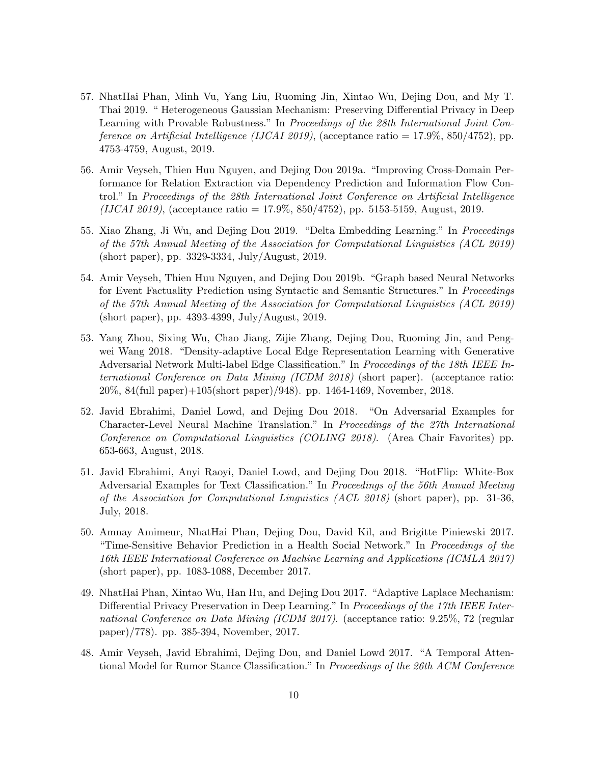- 57. NhatHai Phan, Minh Vu, Yang Liu, Ruoming Jin, Xintao Wu, Dejing Dou, and My T. Thai 2019. " Heterogeneous Gaussian Mechanism: Preserving Differential Privacy in Deep Learning with Provable Robustness." In Proceedings of the 28th International Joint Conference on Artificial Intelligence (IJCAI 2019), (acceptance ratio =  $17.9\%$ , 850/4752), pp. 4753-4759, August, 2019.
- 56. Amir Veyseh, Thien Huu Nguyen, and Dejing Dou 2019a. "Improving Cross-Domain Performance for Relation Extraction via Dependency Prediction and Information Flow Control." In Proceedings of the 28th International Joint Conference on Artificial Intelligence  $(IJCAI 2019)$ , (acceptance ratio = 17.9%, 850/4752), pp. 5153-5159, August, 2019.
- 55. Xiao Zhang, Ji Wu, and Dejing Dou 2019. "Delta Embedding Learning." In Proceedings of the 57th Annual Meeting of the Association for Computational Linguistics (ACL 2019) (short paper), pp. 3329-3334, July/August, 2019.
- 54. Amir Veyseh, Thien Huu Nguyen, and Dejing Dou 2019b. "Graph based Neural Networks for Event Factuality Prediction using Syntactic and Semantic Structures." In Proceedings of the 57th Annual Meeting of the Association for Computational Linguistics (ACL 2019) (short paper), pp. 4393-4399, July/August, 2019.
- 53. Yang Zhou, Sixing Wu, Chao Jiang, Zijie Zhang, Dejing Dou, Ruoming Jin, and Pengwei Wang 2018. "Density-adaptive Local Edge Representation Learning with Generative Adversarial Network Multi-label Edge Classification." In Proceedings of the 18th IEEE International Conference on Data Mining (ICDM 2018) (short paper). (acceptance ratio: 20%, 84(full paper)+105(short paper)/948). pp. 1464-1469, November, 2018.
- 52. Javid Ebrahimi, Daniel Lowd, and Dejing Dou 2018. "On Adversarial Examples for Character-Level Neural Machine Translation." In Proceedings of the 27th International Conference on Computational Linguistics (COLING 2018). (Area Chair Favorites) pp. 653-663, August, 2018.
- 51. Javid Ebrahimi, Anyi Raoyi, Daniel Lowd, and Dejing Dou 2018. "HotFlip: White-Box Adversarial Examples for Text Classification." In Proceedings of the 56th Annual Meeting of the Association for Computational Linguistics (ACL 2018) (short paper), pp. 31-36, July, 2018.
- 50. Amnay Amimeur, NhatHai Phan, Dejing Dou, David Kil, and Brigitte Piniewski 2017. "Time-Sensitive Behavior Prediction in a Health Social Network." In Proceedings of the 16th IEEE International Conference on Machine Learning and Applications (ICMLA 2017) (short paper), pp. 1083-1088, December 2017.
- 49. NhatHai Phan, Xintao Wu, Han Hu, and Dejing Dou 2017. "Adaptive Laplace Mechanism: Differential Privacy Preservation in Deep Learning." In Proceedings of the 17th IEEE International Conference on Data Mining (ICDM 2017). (acceptance ratio: 9.25%, 72 (regular paper)/778). pp. 385-394, November, 2017.
- 48. Amir Veyseh, Javid Ebrahimi, Dejing Dou, and Daniel Lowd 2017. "A Temporal Attentional Model for Rumor Stance Classification." In Proceedings of the 26th ACM Conference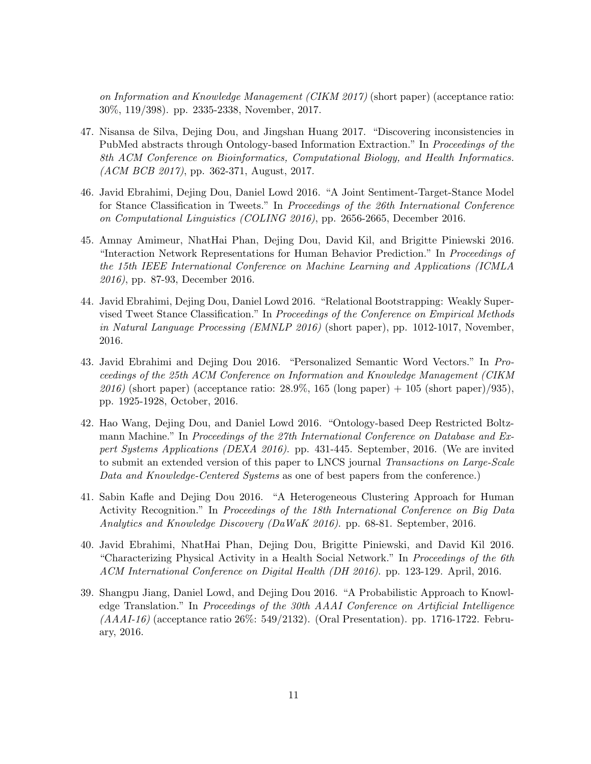on Information and Knowledge Management (CIKM 2017) (short paper) (acceptance ratio: 30%, 119/398). pp. 2335-2338, November, 2017.

- 47. Nisansa de Silva, Dejing Dou, and Jingshan Huang 2017. "Discovering inconsistencies in PubMed abstracts through Ontology-based Information Extraction." In Proceedings of the 8th ACM Conference on Bioinformatics, Computational Biology, and Health Informatics. (ACM BCB 2017), pp. 362-371, August, 2017.
- 46. Javid Ebrahimi, Dejing Dou, Daniel Lowd 2016. "A Joint Sentiment-Target-Stance Model for Stance Classification in Tweets." In Proceedings of the 26th International Conference on Computational Linguistics (COLING 2016), pp. 2656-2665, December 2016.
- 45. Amnay Amimeur, NhatHai Phan, Dejing Dou, David Kil, and Brigitte Piniewski 2016. "Interaction Network Representations for Human Behavior Prediction." In Proceedings of the 15th IEEE International Conference on Machine Learning and Applications (ICMLA 2016), pp. 87-93, December 2016.
- 44. Javid Ebrahimi, Dejing Dou, Daniel Lowd 2016. "Relational Bootstrapping: Weakly Supervised Tweet Stance Classification." In Proceedings of the Conference on Empirical Methods in Natural Language Processing (EMNLP 2016) (short paper), pp. 1012-1017, November, 2016.
- 43. Javid Ebrahimi and Dejing Dou 2016. "Personalized Semantic Word Vectors." In Proceedings of the 25th ACM Conference on Information and Knowledge Management (CIKM 2016) (short paper) (acceptance ratio:  $28.9\%$ , 165 (long paper) + 105 (short paper)/935), pp. 1925-1928, October, 2016.
- 42. Hao Wang, Dejing Dou, and Daniel Lowd 2016. "Ontology-based Deep Restricted Boltzmann Machine." In Proceedings of the 27th International Conference on Database and Expert Systems Applications (DEXA 2016). pp. 431-445. September, 2016. (We are invited to submit an extended version of this paper to LNCS journal *Transactions on Large-Scale* Data and Knowledge-Centered Systems as one of best papers from the conference.)
- 41. Sabin Kafle and Dejing Dou 2016. "A Heterogeneous Clustering Approach for Human Activity Recognition." In Proceedings of the 18th International Conference on Big Data Analytics and Knowledge Discovery (DaWaK 2016). pp. 68-81. September, 2016.
- 40. Javid Ebrahimi, NhatHai Phan, Dejing Dou, Brigitte Piniewski, and David Kil 2016. "Characterizing Physical Activity in a Health Social Network." In Proceedings of the 6th ACM International Conference on Digital Health (DH 2016). pp. 123-129. April, 2016.
- 39. Shangpu Jiang, Daniel Lowd, and Dejing Dou 2016. "A Probabilistic Approach to Knowledge Translation." In Proceedings of the 30th AAAI Conference on Artificial Intelligence  $(AAAI-16)$  (acceptance ratio 26%: 549/2132). (Oral Presentation). pp. 1716-1722. February, 2016.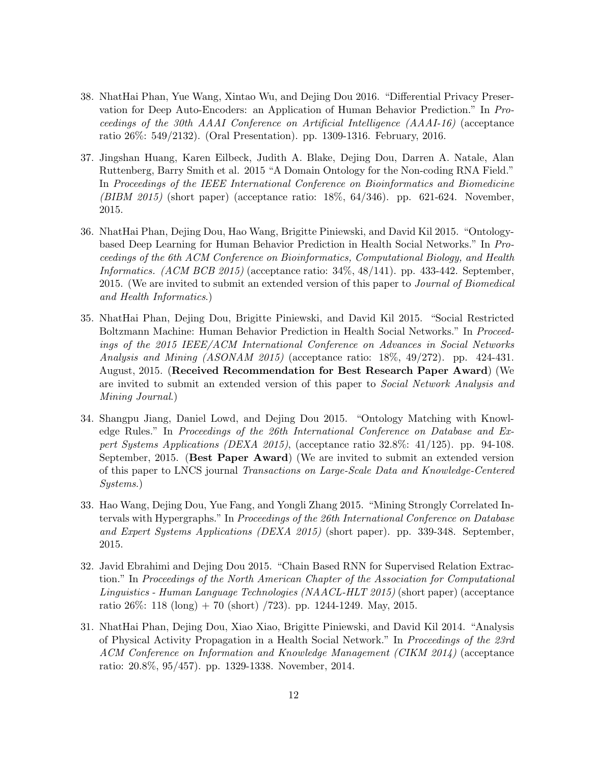- 38. NhatHai Phan, Yue Wang, Xintao Wu, and Dejing Dou 2016. "Differential Privacy Preservation for Deep Auto-Encoders: an Application of Human Behavior Prediction." In Proceedings of the 30th AAAI Conference on Artificial Intelligence (AAAI-16) (acceptance ratio 26%: 549/2132). (Oral Presentation). pp. 1309-1316. February, 2016.
- 37. Jingshan Huang, Karen Eilbeck, Judith A. Blake, Dejing Dou, Darren A. Natale, Alan Ruttenberg, Barry Smith et al. 2015 "A Domain Ontology for the Non-coding RNA Field." In Proceedings of the IEEE International Conference on Bioinformatics and Biomedicine (BIBM 2015) (short paper) (acceptance ratio:  $18\%$ ,  $64/346$ ). pp. 621-624. November, 2015.
- 36. NhatHai Phan, Dejing Dou, Hao Wang, Brigitte Piniewski, and David Kil 2015. "Ontologybased Deep Learning for Human Behavior Prediction in Health Social Networks." In Proceedings of the 6th ACM Conference on Bioinformatics, Computational Biology, and Health Informatics. (ACM BCB 2015) (acceptance ratio: 34%, 48/141). pp. 433-442. September, 2015. (We are invited to submit an extended version of this paper to Journal of Biomedical and Health Informatics.)
- 35. NhatHai Phan, Dejing Dou, Brigitte Piniewski, and David Kil 2015. "Social Restricted Boltzmann Machine: Human Behavior Prediction in Health Social Networks." In Proceedings of the 2015 IEEE/ACM International Conference on Advances in Social Networks Analysis and Mining (ASONAM 2015) (acceptance ratio: 18%, 49/272). pp. 424-431. August, 2015. (Received Recommendation for Best Research Paper Award) (We are invited to submit an extended version of this paper to *Social Network Analysis and* Mining Journal.)
- 34. Shangpu Jiang, Daniel Lowd, and Dejing Dou 2015. "Ontology Matching with Knowledge Rules." In Proceedings of the 26th International Conference on Database and Expert Systems Applications (DEXA 2015), (acceptance ratio 32.8%: 41/125). pp. 94-108. September, 2015. (Best Paper Award) (We are invited to submit an extended version of this paper to LNCS journal Transactions on Large-Scale Data and Knowledge-Centered Systems.)
- 33. Hao Wang, Dejing Dou, Yue Fang, and Yongli Zhang 2015. "Mining Strongly Correlated Intervals with Hypergraphs." In Proceedings of the 26th International Conference on Database and Expert Systems Applications (DEXA 2015) (short paper). pp. 339-348. September, 2015.
- 32. Javid Ebrahimi and Dejing Dou 2015. "Chain Based RNN for Supervised Relation Extraction." In Proceedings of the North American Chapter of the Association for Computational Linguistics - Human Language Technologies (NAACL-HLT 2015) (short paper) (acceptance ratio  $26\%$ : 118 (long) + 70 (short) /723). pp. 1244-1249. May, 2015.
- 31. NhatHai Phan, Dejing Dou, Xiao Xiao, Brigitte Piniewski, and David Kil 2014. "Analysis of Physical Activity Propagation in a Health Social Network." In Proceedings of the 23rd ACM Conference on Information and Knowledge Management (CIKM 2014) (acceptance ratio: 20.8%, 95/457). pp. 1329-1338. November, 2014.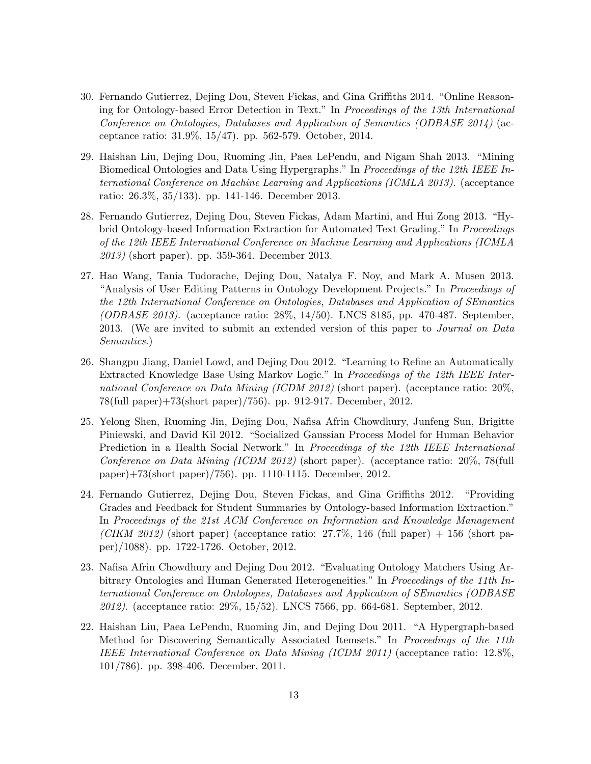- 30. Fernando Gutierrez, Dejing Dou, Steven Fickas, and Gina Griffiths 2014. "Online Reasoning for Ontology-based Error Detection in Text." In Proceedings of the 13th International Conference on Ontologies, Databases and Application of Semantics (ODBASE 2014) (acceptance ratio: 31.9%, 15/47). pp. 562-579. October, 2014.
- 29. Haishan Liu, Dejing Dou, Ruoming Jin, Paea LePendu, and Nigam Shah 2013. "Mining Biomedical Ontologies and Data Using Hypergraphs." In Proceedings of the 12th IEEE International Conference on Machine Learning and Applications (ICMLA 2013). (acceptance ratio: 26.3%, 35/133). pp. 141-146. December 2013.
- 28. Fernando Gutierrez, Dejing Dou, Steven Fickas, Adam Martini, and Hui Zong 2013. "Hybrid Ontology-based Information Extraction for Automated Text Grading." In Proceedings of the 12th IEEE International Conference on Machine Learning and Applications (ICMLA 2013) (short paper). pp. 359-364. December 2013.
- 27. Hao Wang, Tania Tudorache, Dejing Dou, Natalya F. Noy, and Mark A. Musen 2013. "Analysis of User Editing Patterns in Ontology Development Projects." In Proceedings of the 12th International Conference on Ontologies, Databases and Application of SEmantics (*ODBASE 2013*). (acceptance ratio:  $28\%$ ,  $14/50$ ). LNCS 8185, pp. 470-487. September, 2013. (We are invited to submit an extended version of this paper to Journal on Data Semantics.)
- 26. Shangpu Jiang, Daniel Lowd, and Dejing Dou 2012. "Learning to Refine an Automatically Extracted Knowledge Base Using Markov Logic." In Proceedings of the 12th IEEE International Conference on Data Mining (ICDM 2012) (short paper). (acceptance ratio: 20%, 78(full paper)+73(short paper)/756). pp. 912-917. December, 2012.
- 25. Yelong Shen, Ruoming Jin, Dejing Dou, Nafisa Afrin Chowdhury, Junfeng Sun, Brigitte Piniewski, and David Kil 2012. "Socialized Gaussian Process Model for Human Behavior Prediction in a Health Social Network." In *Proceedings of the 12th IEEE International* Conference on Data Mining (ICDM 2012) (short paper). (acceptance ratio: 20%, 78(full paper)+73(short paper)/756). pp. 1110-1115. December, 2012.
- 24. Fernando Gutierrez, Dejing Dou, Steven Fickas, and Gina Griffiths 2012. "Providing Grades and Feedback for Student Summaries by Ontology-based Information Extraction." In Proceedings of the 21st ACM Conference on Information and Knowledge Management (CIKM 2012) (short paper) (acceptance ratio:  $27.7\%$ , 146 (full paper) + 156 (short paper)/1088). pp. 1722-1726. October, 2012.
- 23. Nafisa Afrin Chowdhury and Dejing Dou 2012. "Evaluating Ontology Matchers Using Arbitrary Ontologies and Human Generated Heterogeneities." In Proceedings of the 11th International Conference on Ontologies, Databases and Application of SEmantics (ODBASE 2012). (acceptance ratio: 29%, 15/52). LNCS 7566, pp. 664-681. September, 2012.
- 22. Haishan Liu, Paea LePendu, Ruoming Jin, and Dejing Dou 2011. "A Hypergraph-based Method for Discovering Semantically Associated Itemsets." In Proceedings of the 11th IEEE International Conference on Data Mining (ICDM 2011) (acceptance ratio: 12.8%, 101/786). pp. 398-406. December, 2011.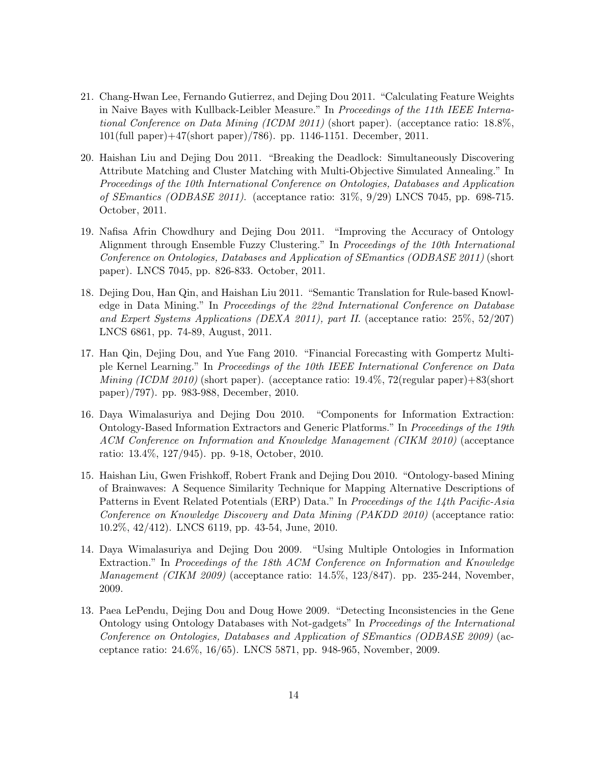- 21. Chang-Hwan Lee, Fernando Gutierrez, and Dejing Dou 2011. "Calculating Feature Weights in Naive Bayes with Kullback-Leibler Measure." In Proceedings of the 11th IEEE International Conference on Data Mining (ICDM 2011) (short paper). (acceptance ratio: 18.8%, 101(full paper)+47(short paper)/786). pp. 1146-1151. December, 2011.
- 20. Haishan Liu and Dejing Dou 2011. "Breaking the Deadlock: Simultaneously Discovering Attribute Matching and Cluster Matching with Multi-Objective Simulated Annealing." In Proceedings of the 10th International Conference on Ontologies, Databases and Application of SEmantics (ODBASE 2011). (acceptance ratio: 31%, 9/29) LNCS 7045, pp. 698-715. October, 2011.
- 19. Nafisa Afrin Chowdhury and Dejing Dou 2011. "Improving the Accuracy of Ontology Alignment through Ensemble Fuzzy Clustering." In Proceedings of the 10th International Conference on Ontologies, Databases and Application of SEmantics (ODBASE 2011) (short paper). LNCS 7045, pp. 826-833. October, 2011.
- 18. Dejing Dou, Han Qin, and Haishan Liu 2011. "Semantic Translation for Rule-based Knowledge in Data Mining." In Proceedings of the 22nd International Conference on Database and Expert Systems Applications (DEXA 2011), part II. (acceptance ratio: 25%, 52/207) LNCS 6861, pp. 74-89, August, 2011.
- 17. Han Qin, Dejing Dou, and Yue Fang 2010. "Financial Forecasting with Gompertz Multiple Kernel Learning." In Proceedings of the 10th IEEE International Conference on Data *Mining (ICDM 2010)* (short paper). (acceptance ratio:  $19.4\%$ ,  $72$  (regular paper) $+83$  (short paper)/797). pp. 983-988, December, 2010.
- 16. Daya Wimalasuriya and Dejing Dou 2010. "Components for Information Extraction: Ontology-Based Information Extractors and Generic Platforms." In Proceedings of the 19th ACM Conference on Information and Knowledge Management (CIKM 2010) (acceptance ratio: 13.4%, 127/945). pp. 9-18, October, 2010.
- 15. Haishan Liu, Gwen Frishkoff, Robert Frank and Dejing Dou 2010. "Ontology-based Mining of Brainwaves: A Sequence Similarity Technique for Mapping Alternative Descriptions of Patterns in Event Related Potentials (ERP) Data." In Proceedings of the 14th Pacific-Asia Conference on Knowledge Discovery and Data Mining (PAKDD 2010) (acceptance ratio: 10.2%, 42/412). LNCS 6119, pp. 43-54, June, 2010.
- 14. Daya Wimalasuriya and Dejing Dou 2009. "Using Multiple Ontologies in Information Extraction." In Proceedings of the 18th ACM Conference on Information and Knowledge Management (CIKM 2009) (acceptance ratio: 14.5%, 123/847). pp. 235-244, November, 2009.
- 13. Paea LePendu, Dejing Dou and Doug Howe 2009. "Detecting Inconsistencies in the Gene Ontology using Ontology Databases with Not-gadgets" In Proceedings of the International Conference on Ontologies, Databases and Application of SEmantics (ODBASE 2009) (acceptance ratio: 24.6%, 16/65). LNCS 5871, pp. 948-965, November, 2009.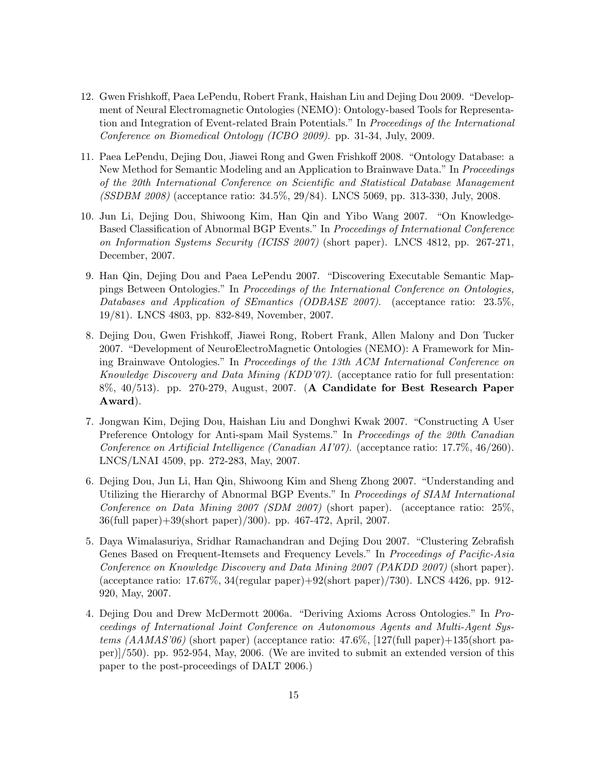- 12. Gwen Frishkoff, Paea LePendu, Robert Frank, Haishan Liu and Dejing Dou 2009. "Development of Neural Electromagnetic Ontologies (NEMO): Ontology-based Tools for Representation and Integration of Event-related Brain Potentials." In Proceedings of the International Conference on Biomedical Ontology (ICBO 2009). pp. 31-34, July, 2009.
- 11. Paea LePendu, Dejing Dou, Jiawei Rong and Gwen Frishkoff 2008. "Ontology Database: a New Method for Semantic Modeling and an Application to Brainwave Data." In Proceedings of the 20th International Conference on Scientific and Statistical Database Management (SSDBM 2008) (acceptance ratio: 34.5%, 29/84). LNCS 5069, pp. 313-330, July, 2008.
- 10. Jun Li, Dejing Dou, Shiwoong Kim, Han Qin and Yibo Wang 2007. "On Knowledge-Based Classification of Abnormal BGP Events." In Proceedings of International Conference on Information Systems Security (ICISS 2007) (short paper). LNCS 4812, pp. 267-271, December, 2007.
- 9. Han Qin, Dejing Dou and Paea LePendu 2007. "Discovering Executable Semantic Mappings Between Ontologies." In Proceedings of the International Conference on Ontologies, Databases and Application of SEmantics (ODBASE 2007). (acceptance ratio: 23.5%, 19/81). LNCS 4803, pp. 832-849, November, 2007.
- 8. Dejing Dou, Gwen Frishkoff, Jiawei Rong, Robert Frank, Allen Malony and Don Tucker 2007. "Development of NeuroElectroMagnetic Ontologies (NEMO): A Framework for Mining Brainwave Ontologies." In Proceedings of the 13th ACM International Conference on Knowledge Discovery and Data Mining (KDD'07). (acceptance ratio for full presentation: 8%, 40/513). pp. 270-279, August, 2007. (A Candidate for Best Research Paper Award).
- 7. Jongwan Kim, Dejing Dou, Haishan Liu and Donghwi Kwak 2007. "Constructing A User Preference Ontology for Anti-spam Mail Systems." In Proceedings of the 20th Canadian Conference on Artificial Intelligence (Canadian AI'07). (acceptance ratio: 17.7%, 46/260). LNCS/LNAI 4509, pp. 272-283, May, 2007.
- 6. Dejing Dou, Jun Li, Han Qin, Shiwoong Kim and Sheng Zhong 2007. "Understanding and Utilizing the Hierarchy of Abnormal BGP Events." In Proceedings of SIAM International Conference on Data Mining 2007 (SDM 2007) (short paper). (acceptance ratio: 25%, 36(full paper)+39(short paper)/300). pp. 467-472, April, 2007.
- 5. Daya Wimalasuriya, Sridhar Ramachandran and Dejing Dou 2007. "Clustering Zebrafish Genes Based on Frequent-Itemsets and Frequency Levels." In Proceedings of Pacific-Asia Conference on Knowledge Discovery and Data Mining 2007 (PAKDD 2007) (short paper). (acceptance ratio: 17.67%, 34(regular paper)+92(short paper)/730). LNCS 4426, pp. 912- 920, May, 2007.
- 4. Dejing Dou and Drew McDermott 2006a. "Deriving Axioms Across Ontologies." In Proceedings of International Joint Conference on Autonomous Agents and Multi-Agent Systems  $(AAMAS'06)$  (short paper) (acceptance ratio:  $47.6\%$ , [127(full paper)+135(short paper)]/550). pp. 952-954, May, 2006. (We are invited to submit an extended version of this paper to the post-proceedings of DALT 2006.)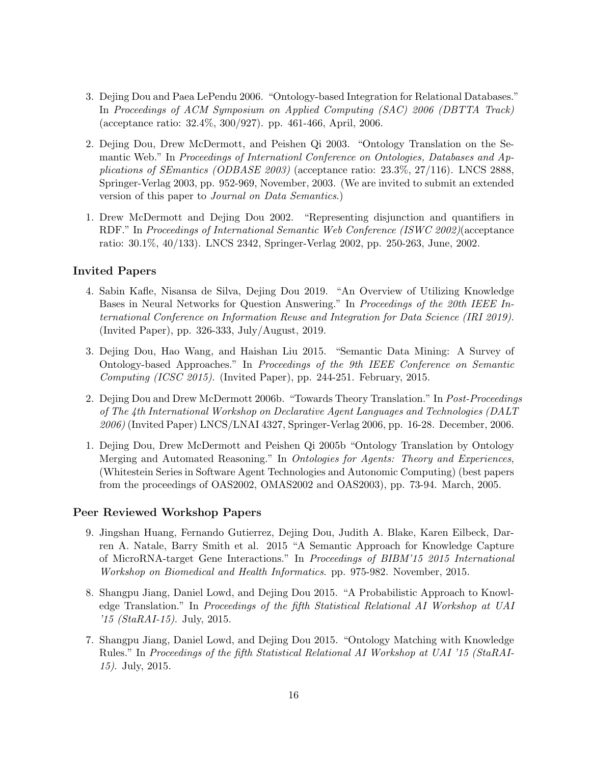- 3. Dejing Dou and Paea LePendu 2006. "Ontology-based Integration for Relational Databases." In Proceedings of ACM Symposium on Applied Computing (SAC) 2006 (DBTTA Track) (acceptance ratio: 32.4%, 300/927). pp. 461-466, April, 2006.
- 2. Dejing Dou, Drew McDermott, and Peishen Qi 2003. "Ontology Translation on the Semantic Web." In Proceedings of Internationl Conference on Ontologies, Databases and Applications of SEmantics (ODBASE 2003) (acceptance ratio: 23.3%, 27/116). LNCS 2888, Springer-Verlag 2003, pp. 952-969, November, 2003. (We are invited to submit an extended version of this paper to Journal on Data Semantics.)
- 1. Drew McDermott and Dejing Dou 2002. "Representing disjunction and quantifiers in RDF." In Proceedings of International Semantic Web Conference (ISWC 2002)(acceptance ratio: 30.1%, 40/133). LNCS 2342, Springer-Verlag 2002, pp. 250-263, June, 2002.

#### Invited Papers

- 4. Sabin Kafle, Nisansa de Silva, Dejing Dou 2019. "An Overview of Utilizing Knowledge Bases in Neural Networks for Question Answering." In Proceedings of the 20th IEEE International Conference on Information Reuse and Integration for Data Science (IRI 2019). (Invited Paper), pp. 326-333, July/August, 2019.
- 3. Dejing Dou, Hao Wang, and Haishan Liu 2015. "Semantic Data Mining: A Survey of Ontology-based Approaches." In Proceedings of the 9th IEEE Conference on Semantic Computing (ICSC 2015). (Invited Paper), pp. 244-251. February, 2015.
- 2. Dejing Dou and Drew McDermott 2006b. "Towards Theory Translation." In Post-Proceedings of The 4th International Workshop on Declarative Agent Languages and Technologies (DALT 2006) (Invited Paper) LNCS/LNAI 4327, Springer-Verlag 2006, pp. 16-28. December, 2006.
- 1. Dejing Dou, Drew McDermott and Peishen Qi 2005b "Ontology Translation by Ontology Merging and Automated Reasoning." In Ontologies for Agents: Theory and Experiences, (Whitestein Series in Software Agent Technologies and Autonomic Computing) (best papers from the proceedings of OAS2002, OMAS2002 and OAS2003), pp. 73-94. March, 2005.

#### Peer Reviewed Workshop Papers

- 9. Jingshan Huang, Fernando Gutierrez, Dejing Dou, Judith A. Blake, Karen Eilbeck, Darren A. Natale, Barry Smith et al. 2015 "A Semantic Approach for Knowledge Capture of MicroRNA-target Gene Interactions." In Proceedings of BIBM'15 2015 International Workshop on Biomedical and Health Informatics. pp. 975-982. November, 2015.
- 8. Shangpu Jiang, Daniel Lowd, and Dejing Dou 2015. "A Probabilistic Approach to Knowledge Translation." In Proceedings of the fifth Statistical Relational AI Workshop at UAI  $'15$  (StaRAI-15). July, 2015.
- 7. Shangpu Jiang, Daniel Lowd, and Dejing Dou 2015. "Ontology Matching with Knowledge Rules." In Proceedings of the fifth Statistical Relational AI Workshop at UAI '15 (StaRAI-15). July, 2015.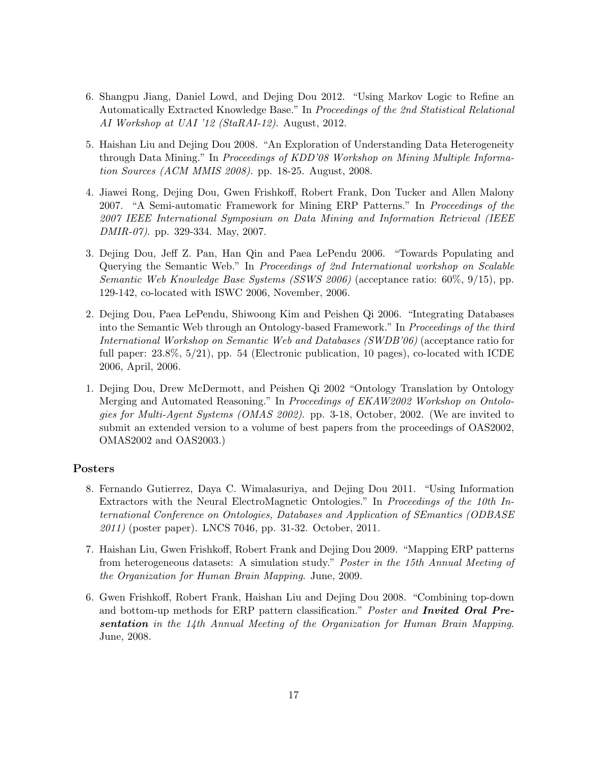- 6. Shangpu Jiang, Daniel Lowd, and Dejing Dou 2012. "Using Markov Logic to Refine an Automatically Extracted Knowledge Base." In Proceedings of the 2nd Statistical Relational AI Workshop at UAI '12 (StaRAI-12). August, 2012.
- 5. Haishan Liu and Dejing Dou 2008. "An Exploration of Understanding Data Heterogeneity through Data Mining." In Proceedings of KDD'08 Workshop on Mining Multiple Information Sources (ACM MMIS 2008). pp. 18-25. August, 2008.
- 4. Jiawei Rong, Dejing Dou, Gwen Frishkoff, Robert Frank, Don Tucker and Allen Malony 2007. "A Semi-automatic Framework for Mining ERP Patterns." In Proceedings of the 2007 IEEE International Symposium on Data Mining and Information Retrieval (IEEE DMIR-07). pp. 329-334. May, 2007.
- 3. Dejing Dou, Jeff Z. Pan, Han Qin and Paea LePendu 2006. "Towards Populating and Querying the Semantic Web." In Proceedings of 2nd International workshop on Scalable Semantic Web Knowledge Base Systems (SSWS 2006) (acceptance ratio: 60%, 9/15), pp. 129-142, co-located with ISWC 2006, November, 2006.
- 2. Dejing Dou, Paea LePendu, Shiwoong Kim and Peishen Qi 2006. "Integrating Databases into the Semantic Web through an Ontology-based Framework." In Proceedings of the third International Workshop on Semantic Web and Databases (SWDB'06) (acceptance ratio for full paper: 23.8%, 5/21), pp. 54 (Electronic publication, 10 pages), co-located with ICDE 2006, April, 2006.
- 1. Dejing Dou, Drew McDermott, and Peishen Qi 2002 "Ontology Translation by Ontology Merging and Automated Reasoning." In Proceedings of EKAW2002 Workshop on Ontologies for Multi-Agent Systems (OMAS 2002). pp. 3-18, October, 2002. (We are invited to submit an extended version to a volume of best papers from the proceedings of OAS2002, OMAS2002 and OAS2003.)

### Posters

- 8. Fernando Gutierrez, Daya C. Wimalasuriya, and Dejing Dou 2011. "Using Information Extractors with the Neural ElectroMagnetic Ontologies." In Proceedings of the 10th International Conference on Ontologies, Databases and Application of SEmantics (ODBASE 2011) (poster paper). LNCS 7046, pp. 31-32. October, 2011.
- 7. Haishan Liu, Gwen Frishkoff, Robert Frank and Dejing Dou 2009. "Mapping ERP patterns from heterogeneous datasets: A simulation study." Poster in the 15th Annual Meeting of the Organization for Human Brain Mapping. June, 2009.
- 6. Gwen Frishkoff, Robert Frank, Haishan Liu and Dejing Dou 2008. "Combining top-down and bottom-up methods for ERP pattern classification." Poster and **Invited Oral Pre**sentation in the 14th Annual Meeting of the Organization for Human Brain Mapping. June, 2008.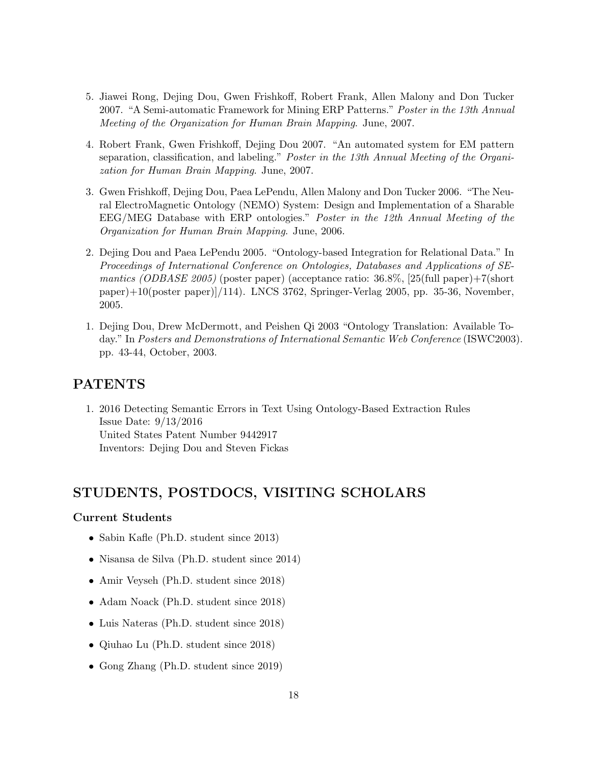- 5. Jiawei Rong, Dejing Dou, Gwen Frishkoff, Robert Frank, Allen Malony and Don Tucker 2007. "A Semi-automatic Framework for Mining ERP Patterns." Poster in the 13th Annual Meeting of the Organization for Human Brain Mapping. June, 2007.
- 4. Robert Frank, Gwen Frishkoff, Dejing Dou 2007. "An automated system for EM pattern separation, classification, and labeling." Poster in the 13th Annual Meeting of the Organization for Human Brain Mapping. June, 2007.
- 3. Gwen Frishkoff, Dejing Dou, Paea LePendu, Allen Malony and Don Tucker 2006. "The Neural ElectroMagnetic Ontology (NEMO) System: Design and Implementation of a Sharable EEG/MEG Database with ERP ontologies." Poster in the 12th Annual Meeting of the Organization for Human Brain Mapping. June, 2006.
- 2. Dejing Dou and Paea LePendu 2005. "Ontology-based Integration for Relational Data." In Proceedings of International Conference on Ontologies, Databases and Applications of SEmantics (ODBASE 2005) (poster paper) (acceptance ratio:  $36.8\%$ , [25(full paper)+7(short paper)+10(poster paper)]/114). LNCS 3762, Springer-Verlag 2005, pp. 35-36, November, 2005.
- 1. Dejing Dou, Drew McDermott, and Peishen Qi 2003 "Ontology Translation: Available Today." In Posters and Demonstrations of International Semantic Web Conference (ISWC2003). pp. 43-44, October, 2003.

### PATENTS

1. 2016 Detecting Semantic Errors in Text Using Ontology-Based Extraction Rules Issue Date: 9/13/2016 United States Patent Number 9442917 Inventors: Dejing Dou and Steven Fickas

# STUDENTS, POSTDOCS, VISITING SCHOLARS

#### Current Students

- Sabin Kafle (Ph.D. student since 2013)
- Nisansa de Silva (Ph.D. student since 2014)
- Amir Veyseh (Ph.D. student since 2018)
- Adam Noack (Ph.D. student since 2018)
- Luis Nateras (Ph.D. student since 2018)
- Qiuhao Lu (Ph.D. student since 2018)
- Gong Zhang (Ph.D. student since 2019)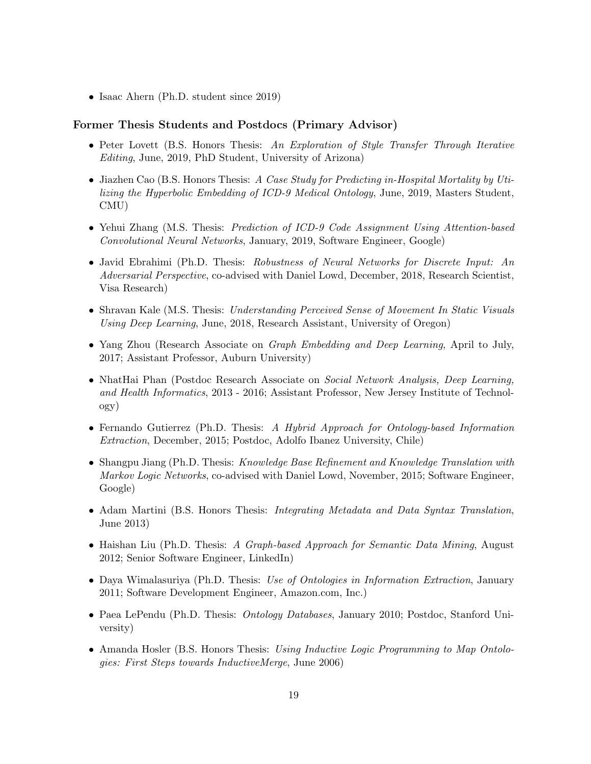• Isaac Ahern (Ph.D. student since 2019)

#### Former Thesis Students and Postdocs (Primary Advisor)

- Peter Lovett (B.S. Honors Thesis: An Exploration of Style Transfer Through Iterative Editing, June, 2019, PhD Student, University of Arizona)
- Jiazhen Cao (B.S. Honors Thesis: A Case Study for Predicting in-Hospital Mortality by Utilizing the Hyperbolic Embedding of ICD-9 Medical Ontology, June, 2019, Masters Student, CMU)
- Yehui Zhang (M.S. Thesis: Prediction of ICD-9 Code Assignment Using Attention-based Convolutional Neural Networks, January, 2019, Software Engineer, Google)
- Javid Ebrahimi (Ph.D. Thesis: Robustness of Neural Networks for Discrete Input: An Adversarial Perspective, co-advised with Daniel Lowd, December, 2018, Research Scientist, Visa Research)
- Shravan Kale (M.S. Thesis: Understanding Perceived Sense of Movement In Static Visuals Using Deep Learning, June, 2018, Research Assistant, University of Oregon)
- Yang Zhou (Research Associate on *Graph Embedding and Deep Learning*, April to July, 2017; Assistant Professor, Auburn University)
- NhatHai Phan (Postdoc Research Associate on Social Network Analysis, Deep Learning, and Health Informatics, 2013 - 2016; Assistant Professor, New Jersey Institute of Technology)
- Fernando Gutierrez (Ph.D. Thesis: A Hybrid Approach for Ontology-based Information Extraction, December, 2015; Postdoc, Adolfo Ibanez University, Chile)
- Shangpu Jiang (Ph.D. Thesis: Knowledge Base Refinement and Knowledge Translation with Markov Logic Networks, co-advised with Daniel Lowd, November, 2015; Software Engineer, Google)
- Adam Martini (B.S. Honors Thesis: Integrating Metadata and Data Syntax Translation, June 2013)
- Haishan Liu (Ph.D. Thesis: A Graph-based Approach for Semantic Data Mining, August 2012; Senior Software Engineer, LinkedIn)
- Daya Wimalasuriya (Ph.D. Thesis: Use of Ontologies in Information Extraction, January 2011; Software Development Engineer, Amazon.com, Inc.)
- Paea LePendu (Ph.D. Thesis: *Ontology Databases*, January 2010; Postdoc, Stanford University)
- Amanda Hosler (B.S. Honors Thesis: Using Inductive Logic Programming to Map Ontologies: First Steps towards InductiveMerge, June 2006)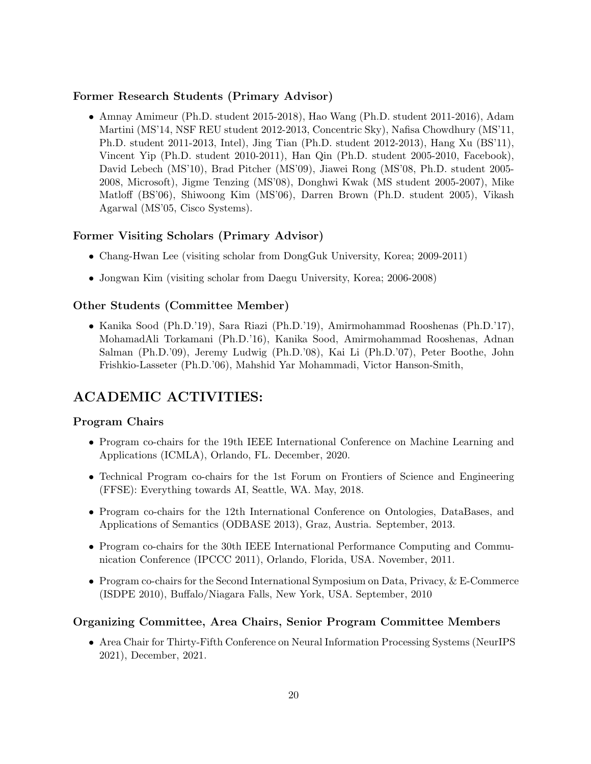### Former Research Students (Primary Advisor)

• Amnay Amimeur (Ph.D. student 2015-2018), Hao Wang (Ph.D. student 2011-2016), Adam Martini (MS'14, NSF REU student 2012-2013, Concentric Sky), Nafisa Chowdhury (MS'11, Ph.D. student 2011-2013, Intel), Jing Tian (Ph.D. student 2012-2013), Hang Xu (BS'11), Vincent Yip (Ph.D. student 2010-2011), Han Qin (Ph.D. student 2005-2010, Facebook), David Lebech (MS'10), Brad Pitcher (MS'09), Jiawei Rong (MS'08, Ph.D. student 2005- 2008, Microsoft), Jigme Tenzing (MS'08), Donghwi Kwak (MS student 2005-2007), Mike Matloff (BS'06), Shiwoong Kim (MS'06), Darren Brown (Ph.D. student 2005), Vikash Agarwal (MS'05, Cisco Systems).

### Former Visiting Scholars (Primary Advisor)

- Chang-Hwan Lee (visiting scholar from DongGuk University, Korea; 2009-2011)
- Jongwan Kim (visiting scholar from Daegu University, Korea; 2006-2008)

### Other Students (Committee Member)

• Kanika Sood (Ph.D.'19), Sara Riazi (Ph.D.'19), Amirmohammad Rooshenas (Ph.D.'17), MohamadAli Torkamani (Ph.D.'16), Kanika Sood, Amirmohammad Rooshenas, Adnan Salman (Ph.D.'09), Jeremy Ludwig (Ph.D.'08), Kai Li (Ph.D.'07), Peter Boothe, John Frishkio-Lasseter (Ph.D.'06), Mahshid Yar Mohammadi, Victor Hanson-Smith,

# ACADEMIC ACTIVITIES:

### Program Chairs

- Program co-chairs for the 19th IEEE International Conference on Machine Learning and Applications (ICMLA), Orlando, FL. December, 2020.
- Technical Program co-chairs for the 1st Forum on Frontiers of Science and Engineering (FFSE): Everything towards AI, Seattle, WA. May, 2018.
- Program co-chairs for the 12th International Conference on Ontologies, DataBases, and Applications of Semantics (ODBASE 2013), Graz, Austria. September, 2013.
- Program co-chairs for the 30th IEEE International Performance Computing and Communication Conference (IPCCC 2011), Orlando, Florida, USA. November, 2011.
- Program co-chairs for the Second International Symposium on Data, Privacy, & E-Commerce (ISDPE 2010), Buffalo/Niagara Falls, New York, USA. September, 2010

### Organizing Committee, Area Chairs, Senior Program Committee Members

• Area Chair for Thirty-Fifth Conference on Neural Information Processing Systems (NeurIPS 2021), December, 2021.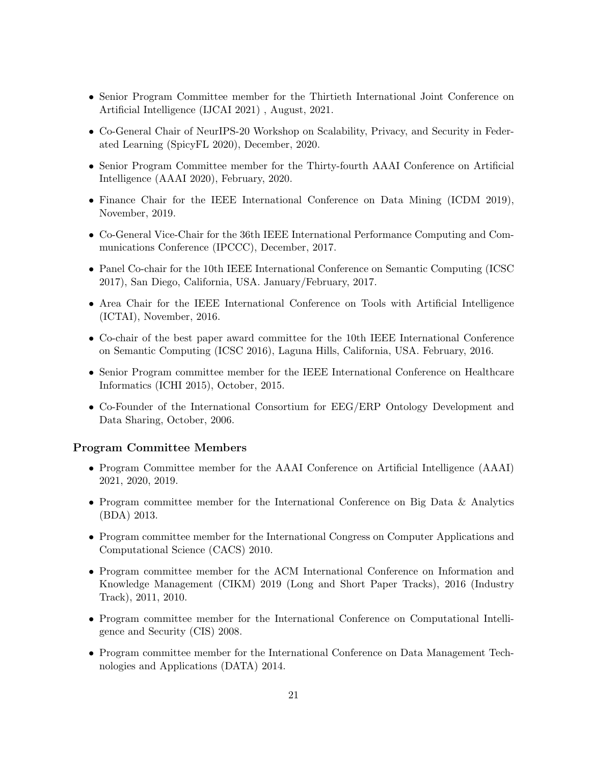- Senior Program Committee member for the Thirtieth International Joint Conference on Artificial Intelligence (IJCAI 2021) , August, 2021.
- Co-General Chair of NeurIPS-20 Workshop on Scalability, Privacy, and Security in Federated Learning (SpicyFL 2020), December, 2020.
- Senior Program Committee member for the Thirty-fourth AAAI Conference on Artificial Intelligence (AAAI 2020), February, 2020.
- Finance Chair for the IEEE International Conference on Data Mining (ICDM 2019), November, 2019.
- Co-General Vice-Chair for the 36th IEEE International Performance Computing and Communications Conference (IPCCC), December, 2017.
- Panel Co-chair for the 10th IEEE International Conference on Semantic Computing (ICSC) 2017), San Diego, California, USA. January/February, 2017.
- Area Chair for the IEEE International Conference on Tools with Artificial Intelligence (ICTAI), November, 2016.
- Co-chair of the best paper award committee for the 10th IEEE International Conference on Semantic Computing (ICSC 2016), Laguna Hills, California, USA. February, 2016.
- Senior Program committee member for the IEEE International Conference on Healthcare Informatics (ICHI 2015), October, 2015.
- Co-Founder of the International Consortium for EEG/ERP Ontology Development and Data Sharing, October, 2006.

#### Program Committee Members

- Program Committee member for the AAAI Conference on Artificial Intelligence (AAAI) 2021, 2020, 2019.
- Program committee member for the International Conference on Big Data & Analytics (BDA) 2013.
- Program committee member for the International Congress on Computer Applications and Computational Science (CACS) 2010.
- Program committee member for the ACM International Conference on Information and Knowledge Management (CIKM) 2019 (Long and Short Paper Tracks), 2016 (Industry Track), 2011, 2010.
- Program committee member for the International Conference on Computational Intelligence and Security (CIS) 2008.
- Program committee member for the International Conference on Data Management Technologies and Applications (DATA) 2014.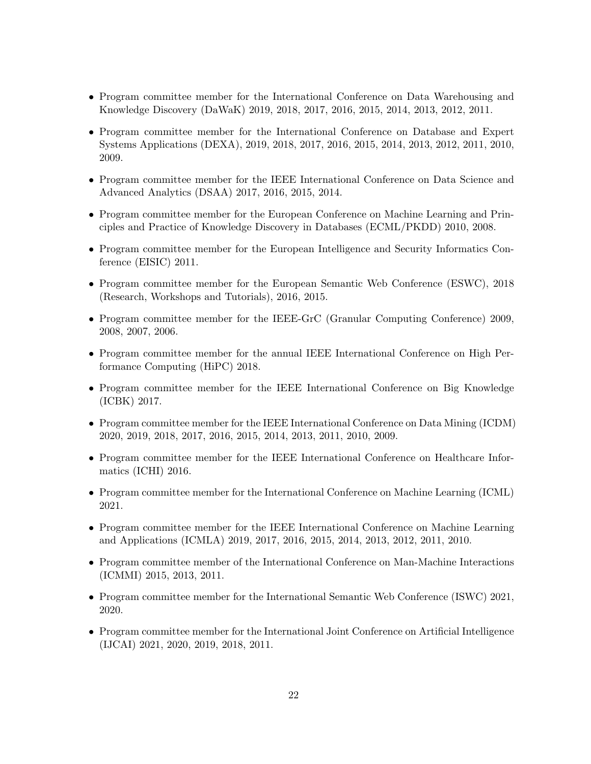- Program committee member for the International Conference on Data Warehousing and Knowledge Discovery (DaWaK) 2019, 2018, 2017, 2016, 2015, 2014, 2013, 2012, 2011.
- Program committee member for the International Conference on Database and Expert Systems Applications (DEXA), 2019, 2018, 2017, 2016, 2015, 2014, 2013, 2012, 2011, 2010, 2009.
- Program committee member for the IEEE International Conference on Data Science and Advanced Analytics (DSAA) 2017, 2016, 2015, 2014.
- Program committee member for the European Conference on Machine Learning and Principles and Practice of Knowledge Discovery in Databases (ECML/PKDD) 2010, 2008.
- Program committee member for the European Intelligence and Security Informatics Conference (EISIC) 2011.
- Program committee member for the European Semantic Web Conference (ESWC), 2018 (Research, Workshops and Tutorials), 2016, 2015.
- Program committee member for the IEEE-GrC (Granular Computing Conference) 2009, 2008, 2007, 2006.
- Program committee member for the annual IEEE International Conference on High Performance Computing (HiPC) 2018.
- Program committee member for the IEEE International Conference on Big Knowledge (ICBK) 2017.
- Program committee member for the IEEE International Conference on Data Mining (ICDM) 2020, 2019, 2018, 2017, 2016, 2015, 2014, 2013, 2011, 2010, 2009.
- Program committee member for the IEEE International Conference on Healthcare Informatics (ICHI) 2016.
- Program committee member for the International Conference on Machine Learning (ICML) 2021.
- Program committee member for the IEEE International Conference on Machine Learning and Applications (ICMLA) 2019, 2017, 2016, 2015, 2014, 2013, 2012, 2011, 2010.
- Program committee member of the International Conference on Man-Machine Interactions (ICMMI) 2015, 2013, 2011.
- Program committee member for the International Semantic Web Conference (ISWC) 2021, 2020.
- Program committee member for the International Joint Conference on Artificial Intelligence (IJCAI) 2021, 2020, 2019, 2018, 2011.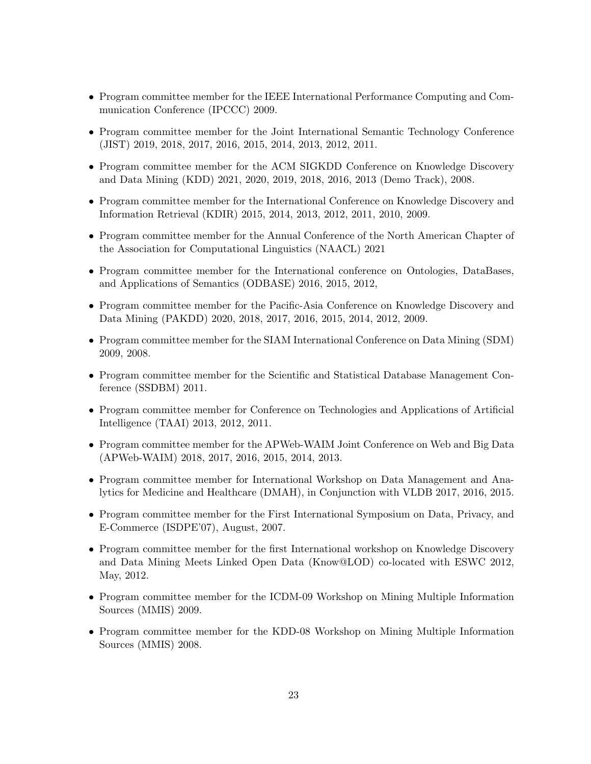- Program committee member for the IEEE International Performance Computing and Communication Conference (IPCCC) 2009.
- Program committee member for the Joint International Semantic Technology Conference (JIST) 2019, 2018, 2017, 2016, 2015, 2014, 2013, 2012, 2011.
- Program committee member for the ACM SIGKDD Conference on Knowledge Discovery and Data Mining (KDD) 2021, 2020, 2019, 2018, 2016, 2013 (Demo Track), 2008.
- Program committee member for the International Conference on Knowledge Discovery and Information Retrieval (KDIR) 2015, 2014, 2013, 2012, 2011, 2010, 2009.
- Program committee member for the Annual Conference of the North American Chapter of the Association for Computational Linguistics (NAACL) 2021
- Program committee member for the International conference on Ontologies, DataBases, and Applications of Semantics (ODBASE) 2016, 2015, 2012,
- Program committee member for the Pacific-Asia Conference on Knowledge Discovery and Data Mining (PAKDD) 2020, 2018, 2017, 2016, 2015, 2014, 2012, 2009.
- Program committee member for the SIAM International Conference on Data Mining (SDM) 2009, 2008.
- Program committee member for the Scientific and Statistical Database Management Conference (SSDBM) 2011.
- Program committee member for Conference on Technologies and Applications of Artificial Intelligence (TAAI) 2013, 2012, 2011.
- Program committee member for the APWeb-WAIM Joint Conference on Web and Big Data (APWeb-WAIM) 2018, 2017, 2016, 2015, 2014, 2013.
- Program committee member for International Workshop on Data Management and Analytics for Medicine and Healthcare (DMAH), in Conjunction with VLDB 2017, 2016, 2015.
- Program committee member for the First International Symposium on Data, Privacy, and E-Commerce (ISDPE'07), August, 2007.
- Program committee member for the first International workshop on Knowledge Discovery and Data Mining Meets Linked Open Data (Know@LOD) co-located with ESWC 2012, May, 2012.
- Program committee member for the ICDM-09 Workshop on Mining Multiple Information Sources (MMIS) 2009.
- Program committee member for the KDD-08 Workshop on Mining Multiple Information Sources (MMIS) 2008.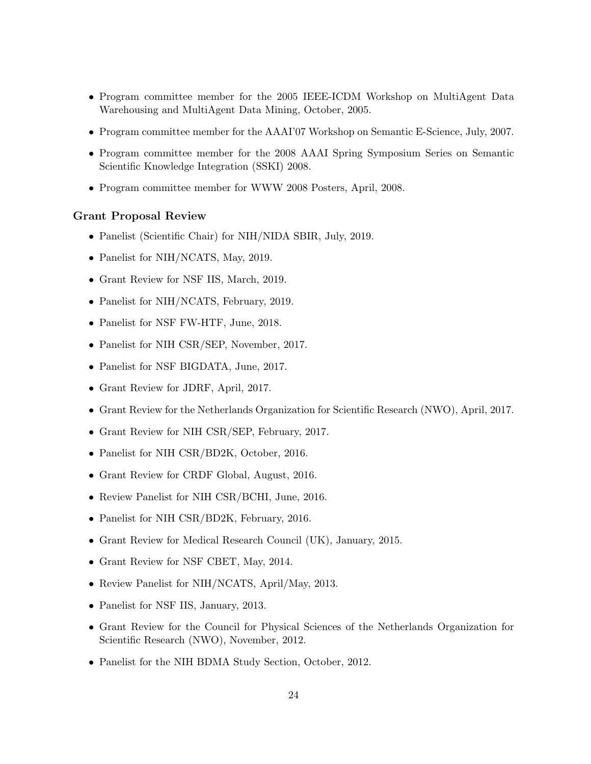- Program committee member for the 2005 IEEE-ICDM Workshop on MultiAgent Data Warehousing and MultiAgent Data Mining, October, 2005.
- Program committee member for the AAAI'07 Workshop on Semantic E-Science, July, 2007.
- Program committee member for the 2008 AAAI Spring Symposium Series on Semantic Scientific Knowledge Integration (SSKI) 2008.
- Program committee member for WWW 2008 Posters, April, 2008.

#### Grant Proposal Review

- Panelist (Scientific Chair) for NIH/NIDA SBIR, July, 2019.
- Panelist for NIH/NCATS, May, 2019.
- Grant Review for NSF IIS, March, 2019.
- Panelist for NIH/NCATS, February, 2019.
- Panelist for NSF FW-HTF, June, 2018.
- Panelist for NIH CSR/SEP, November, 2017.
- Panelist for NSF BIGDATA, June, 2017.
- Grant Review for JDRF, April, 2017.
- Grant Review for the Netherlands Organization for Scientific Research (NWO), April, 2017.
- Grant Review for NIH CSR/SEP, February, 2017.
- Panelist for NIH CSR/BD2K, October, 2016.
- Grant Review for CRDF Global, August, 2016.
- Review Panelist for NIH CSR/BCHI, June, 2016.
- Panelist for NIH CSR/BD2K, February, 2016.
- Grant Review for Medical Research Council (UK), January, 2015.
- Grant Review for NSF CBET, May, 2014.
- Review Panelist for NIH/NCATS, April/May, 2013.
- Panelist for NSF IIS, January, 2013.
- Grant Review for the Council for Physical Sciences of the Netherlands Organization for Scientific Research (NWO), November, 2012.
- Panelist for the NIH BDMA Study Section, October, 2012.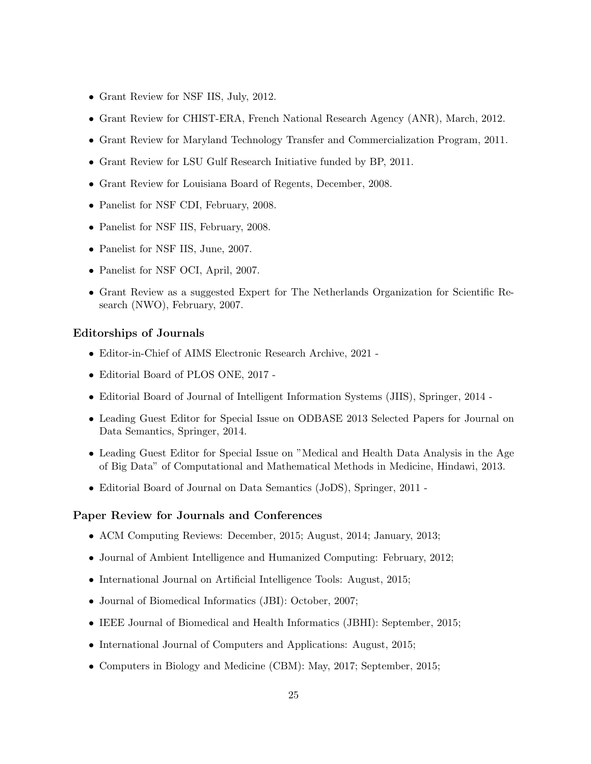- Grant Review for NSF IIS, July, 2012.
- Grant Review for CHIST-ERA, French National Research Agency (ANR), March, 2012.
- Grant Review for Maryland Technology Transfer and Commercialization Program, 2011.
- Grant Review for LSU Gulf Research Initiative funded by BP, 2011.
- Grant Review for Louisiana Board of Regents, December, 2008.
- Panelist for NSF CDI, February, 2008.
- Panelist for NSF IIS, February, 2008.
- Panelist for NSF IIS, June, 2007.
- Panelist for NSF OCI, April, 2007.
- Grant Review as a suggested Expert for The Netherlands Organization for Scientific Research (NWO), February, 2007.

#### Editorships of Journals

- Editor-in-Chief of AIMS Electronic Research Archive, 2021 -
- Editorial Board of PLOS ONE, 2017 -
- Editorial Board of Journal of Intelligent Information Systems (JIIS), Springer, 2014 -
- Leading Guest Editor for Special Issue on ODBASE 2013 Selected Papers for Journal on Data Semantics, Springer, 2014.
- Leading Guest Editor for Special Issue on "Medical and Health Data Analysis in the Age of Big Data" of Computational and Mathematical Methods in Medicine, Hindawi, 2013.
- Editorial Board of Journal on Data Semantics (JoDS), Springer, 2011 -

#### Paper Review for Journals and Conferences

- ACM Computing Reviews: December, 2015; August, 2014; January, 2013;
- Journal of Ambient Intelligence and Humanized Computing: February, 2012;
- International Journal on Artificial Intelligence Tools: August, 2015;
- Journal of Biomedical Informatics (JBI): October, 2007;
- IEEE Journal of Biomedical and Health Informatics (JBHI): September, 2015;
- International Journal of Computers and Applications: August, 2015;
- Computers in Biology and Medicine (CBM): May, 2017; September, 2015;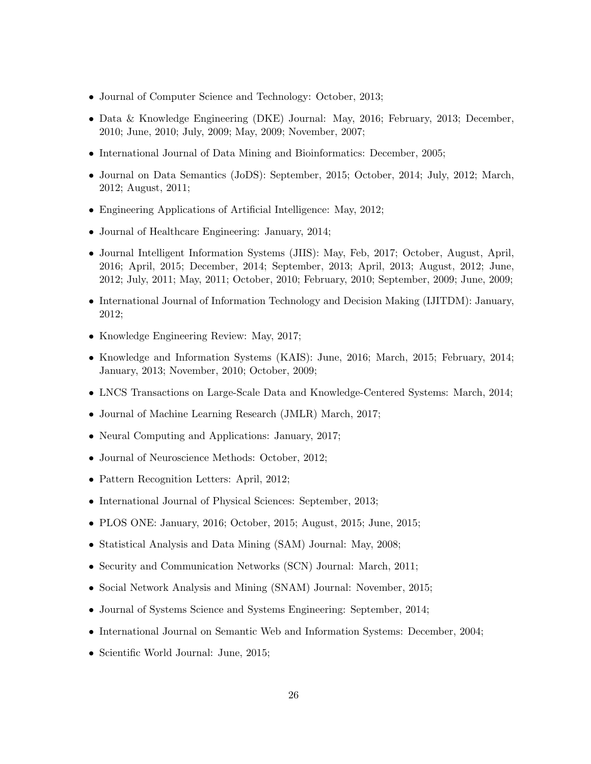- Journal of Computer Science and Technology: October, 2013;
- Data & Knowledge Engineering (DKE) Journal: May, 2016; February, 2013; December, 2010; June, 2010; July, 2009; May, 2009; November, 2007;
- International Journal of Data Mining and Bioinformatics: December, 2005;
- Journal on Data Semantics (JoDS): September, 2015; October, 2014; July, 2012; March, 2012; August, 2011;
- Engineering Applications of Artificial Intelligence: May, 2012;
- Journal of Healthcare Engineering: January, 2014;
- Journal Intelligent Information Systems (JIIS): May, Feb, 2017; October, August, April, 2016; April, 2015; December, 2014; September, 2013; April, 2013; August, 2012; June, 2012; July, 2011; May, 2011; October, 2010; February, 2010; September, 2009; June, 2009;
- International Journal of Information Technology and Decision Making (IJITDM): January, 2012;
- Knowledge Engineering Review: May, 2017;
- Knowledge and Information Systems (KAIS): June, 2016; March, 2015; February, 2014; January, 2013; November, 2010; October, 2009;
- LNCS Transactions on Large-Scale Data and Knowledge-Centered Systems: March, 2014;
- Journal of Machine Learning Research (JMLR) March, 2017;
- Neural Computing and Applications: January, 2017;
- Journal of Neuroscience Methods: October, 2012;
- Pattern Recognition Letters: April, 2012;
- International Journal of Physical Sciences: September, 2013;
- PLOS ONE: January, 2016; October, 2015; August, 2015; June, 2015;
- Statistical Analysis and Data Mining (SAM) Journal: May, 2008;
- Security and Communication Networks (SCN) Journal: March, 2011;
- Social Network Analysis and Mining (SNAM) Journal: November, 2015;
- Journal of Systems Science and Systems Engineering: September, 2014;
- International Journal on Semantic Web and Information Systems: December, 2004;
- Scientific World Journal: June, 2015;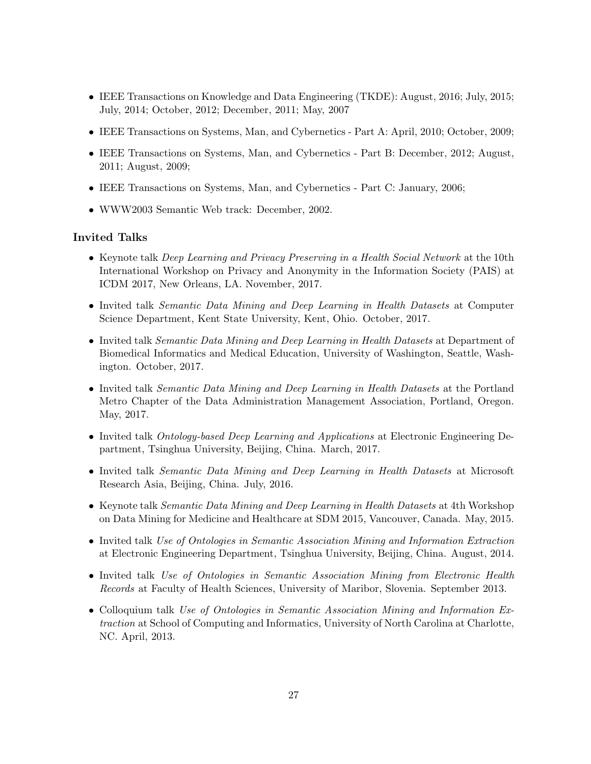- IEEE Transactions on Knowledge and Data Engineering (TKDE): August, 2016; July, 2015; July, 2014; October, 2012; December, 2011; May, 2007
- IEEE Transactions on Systems, Man, and Cybernetics Part A: April, 2010; October, 2009;
- IEEE Transactions on Systems, Man, and Cybernetics Part B: December, 2012; August, 2011; August, 2009;
- IEEE Transactions on Systems, Man, and Cybernetics Part C: January, 2006;
- WWW2003 Semantic Web track: December, 2002.

### Invited Talks

- Keynote talk *Deep Learning and Privacy Preserving in a Health Social Network* at the 10th International Workshop on Privacy and Anonymity in the Information Society (PAIS) at ICDM 2017, New Orleans, LA. November, 2017.
- Invited talk Semantic Data Mining and Deep Learning in Health Datasets at Computer Science Department, Kent State University, Kent, Ohio. October, 2017.
- Invited talk Semantic Data Mining and Deep Learning in Health Datasets at Department of Biomedical Informatics and Medical Education, University of Washington, Seattle, Washington. October, 2017.
- Invited talk *Semantic Data Mining and Deep Learning in Health Datasets* at the Portland Metro Chapter of the Data Administration Management Association, Portland, Oregon. May, 2017.
- Invited talk Ontology-based Deep Learning and Applications at Electronic Engineering Department, Tsinghua University, Beijing, China. March, 2017.
- Invited talk Semantic Data Mining and Deep Learning in Health Datasets at Microsoft Research Asia, Beijing, China. July, 2016.
- Keynote talk *Semantic Data Mining and Deep Learning in Health Datasets* at 4th Workshop on Data Mining for Medicine and Healthcare at SDM 2015, Vancouver, Canada. May, 2015.
- Invited talk Use of Ontologies in Semantic Association Mining and Information Extraction at Electronic Engineering Department, Tsinghua University, Beijing, China. August, 2014.
- Invited talk Use of Ontologies in Semantic Association Mining from Electronic Health Records at Faculty of Health Sciences, University of Maribor, Slovenia. September 2013.
- Colloquium talk Use of Ontologies in Semantic Association Mining and Information Extraction at School of Computing and Informatics, University of North Carolina at Charlotte, NC. April, 2013.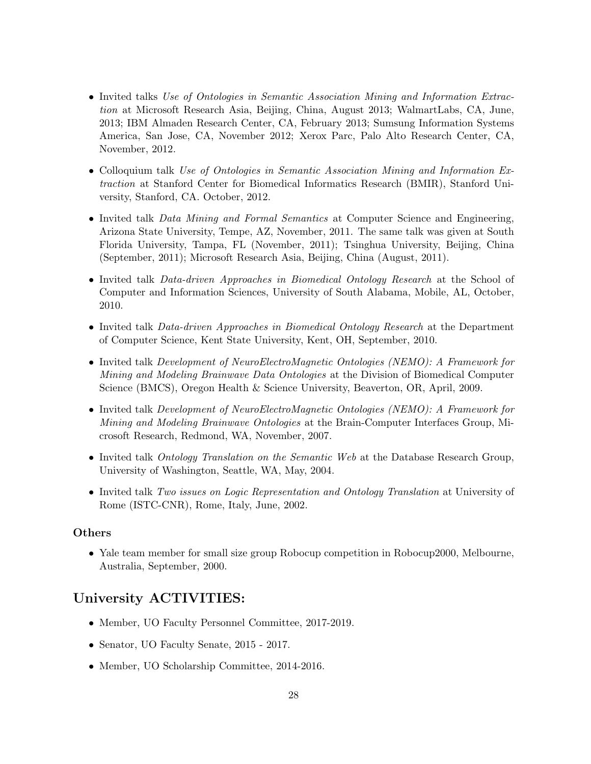- Invited talks Use of Ontologies in Semantic Association Mining and Information Extraction at Microsoft Research Asia, Beijing, China, August 2013; WalmartLabs, CA, June, 2013; IBM Almaden Research Center, CA, February 2013; Sumsung Information Systems America, San Jose, CA, November 2012; Xerox Parc, Palo Alto Research Center, CA, November, 2012.
- Colloquium talk Use of Ontologies in Semantic Association Mining and Information Extraction at Stanford Center for Biomedical Informatics Research (BMIR), Stanford University, Stanford, CA. October, 2012.
- Invited talk Data Mining and Formal Semantics at Computer Science and Engineering, Arizona State University, Tempe, AZ, November, 2011. The same talk was given at South Florida University, Tampa, FL (November, 2011); Tsinghua University, Beijing, China (September, 2011); Microsoft Research Asia, Beijing, China (August, 2011).
- Invited talk *Data-driven Approaches in Biomedical Ontology Research* at the School of Computer and Information Sciences, University of South Alabama, Mobile, AL, October, 2010.
- Invited talk Data-driven Approaches in Biomedical Ontology Research at the Department of Computer Science, Kent State University, Kent, OH, September, 2010.
- Invited talk Development of NeuroElectroMagnetic Ontologies (NEMO): A Framework for Mining and Modeling Brainwave Data Ontologies at the Division of Biomedical Computer Science (BMCS), Oregon Health & Science University, Beaverton, OR, April, 2009.
- Invited talk Development of NeuroElectroMagnetic Ontologies (NEMO): A Framework for Mining and Modeling Brainwave Ontologies at the Brain-Computer Interfaces Group, Microsoft Research, Redmond, WA, November, 2007.
- Invited talk Ontology Translation on the Semantic Web at the Database Research Group, University of Washington, Seattle, WA, May, 2004.
- Invited talk Two issues on Logic Representation and Ontology Translation at University of Rome (ISTC-CNR), Rome, Italy, June, 2002.

#### Others

• Yale team member for small size group Robocup competition in Robocup2000, Melbourne, Australia, September, 2000.

### University ACTIVITIES:

- Member, UO Faculty Personnel Committee, 2017-2019.
- Senator, UO Faculty Senate, 2015 2017.
- Member, UO Scholarship Committee, 2014-2016.